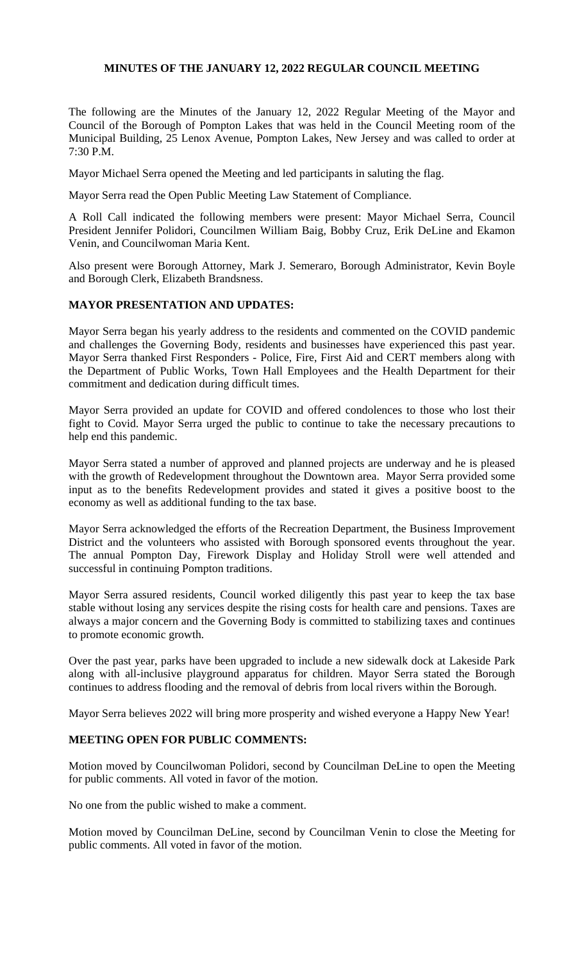# **MINUTES OF THE JANUARY 12, 2022 REGULAR COUNCIL MEETING**

The following are the Minutes of the January 12, 2022 Regular Meeting of the Mayor and Council of the Borough of Pompton Lakes that was held in the Council Meeting room of the Municipal Building, 25 Lenox Avenue, Pompton Lakes, New Jersey and was called to order at 7:30 P.M.

Mayor Michael Serra opened the Meeting and led participants in saluting the flag.

Mayor Serra read the Open Public Meeting Law Statement of Compliance.

A Roll Call indicated the following members were present: Mayor Michael Serra, Council President Jennifer Polidori, Councilmen William Baig, Bobby Cruz, Erik DeLine and Ekamon Venin, and Councilwoman Maria Kent.

Also present were Borough Attorney, Mark J. Semeraro, Borough Administrator, Kevin Boyle and Borough Clerk, Elizabeth Brandsness.

# **MAYOR PRESENTATION AND UPDATES:**

Mayor Serra began his yearly address to the residents and commented on the COVID pandemic and challenges the Governing Body, residents and businesses have experienced this past year. Mayor Serra thanked First Responders - Police, Fire, First Aid and CERT members along with the Department of Public Works, Town Hall Employees and the Health Department for their commitment and dedication during difficult times.

Mayor Serra provided an update for COVID and offered condolences to those who lost their fight to Covid. Mayor Serra urged the public to continue to take the necessary precautions to help end this pandemic.

Mayor Serra stated a number of approved and planned projects are underway and he is pleased with the growth of Redevelopment throughout the Downtown area. Mayor Serra provided some input as to the benefits Redevelopment provides and stated it gives a positive boost to the economy as well as additional funding to the tax base.

Mayor Serra acknowledged the efforts of the Recreation Department, the Business Improvement District and the volunteers who assisted with Borough sponsored events throughout the year. The annual Pompton Day, Firework Display and Holiday Stroll were well attended and successful in continuing Pompton traditions.

Mayor Serra assured residents, Council worked diligently this past year to keep the tax base stable without losing any services despite the rising costs for health care and pensions. Taxes are always a major concern and the Governing Body is committed to stabilizing taxes and continues to promote economic growth.

Over the past year, parks have been upgraded to include a new sidewalk dock at Lakeside Park along with all-inclusive playground apparatus for children. Mayor Serra stated the Borough continues to address flooding and the removal of debris from local rivers within the Borough.

Mayor Serra believes 2022 will bring more prosperity and wished everyone a Happy New Year!

# **MEETING OPEN FOR PUBLIC COMMENTS:**

Motion moved by Councilwoman Polidori, second by Councilman DeLine to open the Meeting for public comments. All voted in favor of the motion.

No one from the public wished to make a comment.

Motion moved by Councilman DeLine, second by Councilman Venin to close the Meeting for public comments. All voted in favor of the motion.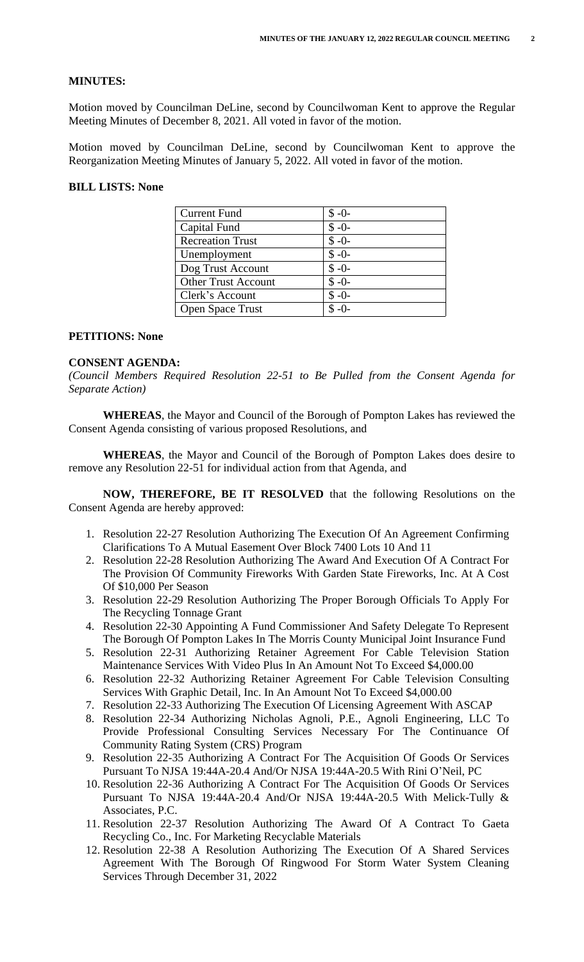### **MINUTES:**

Motion moved by Councilman DeLine, second by Councilwoman Kent to approve the Regular Meeting Minutes of December 8, 2021. All voted in favor of the motion.

Motion moved by Councilman DeLine, second by Councilwoman Kent to approve the Reorganization Meeting Minutes of January 5, 2022. All voted in favor of the motion.

### **BILL LISTS: None**

| <b>Current Fund</b>        | $$ -0-$ |
|----------------------------|---------|
| Capital Fund               | $$ -0-$ |
| <b>Recreation Trust</b>    | $$ -0-$ |
| Unemployment               | $$ -0-$ |
| Dog Trust Account          | $$ -0-$ |
| <b>Other Trust Account</b> | $$ -0-$ |
| Clerk's Account            | $$ -0-$ |
| <b>Open Space Trust</b>    | $$ -0-$ |

#### **PETITIONS: None**

#### **CONSENT AGENDA:**

*(Council Members Required Resolution 22-51 to Be Pulled from the Consent Agenda for Separate Action)*

**WHEREAS**, the Mayor and Council of the Borough of Pompton Lakes has reviewed the Consent Agenda consisting of various proposed Resolutions, and

**WHEREAS**, the Mayor and Council of the Borough of Pompton Lakes does desire to remove any Resolution 22-51 for individual action from that Agenda, and

**NOW, THEREFORE, BE IT RESOLVED** that the following Resolutions on the Consent Agenda are hereby approved:

- 1. Resolution 22-27 Resolution Authorizing The Execution Of An Agreement Confirming Clarifications To A Mutual Easement Over Block 7400 Lots 10 And 11
- 2. Resolution 22-28 Resolution Authorizing The Award And Execution Of A Contract For The Provision Of Community Fireworks With Garden State Fireworks, Inc. At A Cost Of \$10,000 Per Season
- 3. Resolution 22-29 Resolution Authorizing The Proper Borough Officials To Apply For The Recycling Tonnage Grant
- 4. Resolution 22-30 Appointing A Fund Commissioner And Safety Delegate To Represent The Borough Of Pompton Lakes In The Morris County Municipal Joint Insurance Fund
- 5. Resolution 22-31 Authorizing Retainer Agreement For Cable Television Station Maintenance Services With Video Plus In An Amount Not To Exceed \$4,000.00
- 6. Resolution 22-32 Authorizing Retainer Agreement For Cable Television Consulting Services With Graphic Detail, Inc. In An Amount Not To Exceed \$4,000.00
- 7. Resolution 22-33 Authorizing The Execution Of Licensing Agreement With ASCAP
- 8. Resolution 22-34 Authorizing Nicholas Agnoli, P.E., Agnoli Engineering, LLC To Provide Professional Consulting Services Necessary For The Continuance Of Community Rating System (CRS) Program
- 9. Resolution 22-35 Authorizing A Contract For The Acquisition Of Goods Or Services Pursuant To NJSA 19:44A-20.4 And/Or NJSA 19:44A-20.5 With Rini O'Neil, PC
- 10. Resolution 22-36 Authorizing A Contract For The Acquisition Of Goods Or Services Pursuant To NJSA 19:44A-20.4 And/Or NJSA 19:44A-20.5 With Melick-Tully & Associates, P.C.
- 11. Resolution 22-37 Resolution Authorizing The Award Of A Contract To Gaeta Recycling Co., Inc. For Marketing Recyclable Materials
- 12. Resolution 22-38 A Resolution Authorizing The Execution Of A Shared Services Agreement With The Borough Of Ringwood For Storm Water System Cleaning Services Through December 31, 2022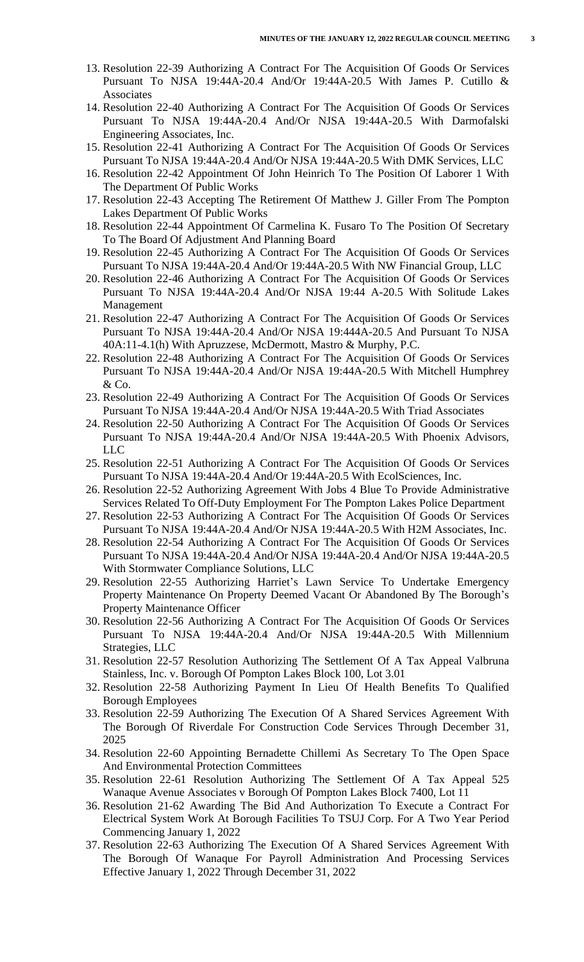- 13. Resolution 22-39 Authorizing A Contract For The Acquisition Of Goods Or Services Pursuant To NJSA 19:44A-20.4 And/Or 19:44A-20.5 With James P. Cutillo & Associates
- 14. Resolution 22-40 Authorizing A Contract For The Acquisition Of Goods Or Services Pursuant To NJSA 19:44A-20.4 And/Or NJSA 19:44A-20.5 With Darmofalski Engineering Associates, Inc.
- 15. Resolution 22-41 Authorizing A Contract For The Acquisition Of Goods Or Services Pursuant To NJSA 19:44A-20.4 And/Or NJSA 19:44A-20.5 With DMK Services, LLC
- 16. Resolution 22-42 Appointment Of John Heinrich To The Position Of Laborer 1 With The Department Of Public Works
- 17. Resolution 22-43 Accepting The Retirement Of Matthew J. Giller From The Pompton Lakes Department Of Public Works
- 18. Resolution 22-44 Appointment Of Carmelina K. Fusaro To The Position Of Secretary To The Board Of Adjustment And Planning Board
- 19. Resolution 22-45 Authorizing A Contract For The Acquisition Of Goods Or Services Pursuant To NJSA 19:44A-20.4 And/Or 19:44A-20.5 With NW Financial Group, LLC
- 20. Resolution 22-46 Authorizing A Contract For The Acquisition Of Goods Or Services Pursuant To NJSA 19:44A-20.4 And/Or NJSA 19:44 A-20.5 With Solitude Lakes Management
- 21. Resolution 22-47 Authorizing A Contract For The Acquisition Of Goods Or Services Pursuant To NJSA 19:44A-20.4 And/Or NJSA 19:444A-20.5 And Pursuant To NJSA 40A:11-4.1(h) With Apruzzese, McDermott, Mastro & Murphy, P.C.
- 22. Resolution 22-48 Authorizing A Contract For The Acquisition Of Goods Or Services Pursuant To NJSA 19:44A-20.4 And/Or NJSA 19:44A-20.5 With Mitchell Humphrey & Co.
- 23. Resolution 22-49 Authorizing A Contract For The Acquisition Of Goods Or Services Pursuant To NJSA 19:44A-20.4 And/Or NJSA 19:44A-20.5 With Triad Associates
- 24. Resolution 22-50 Authorizing A Contract For The Acquisition Of Goods Or Services Pursuant To NJSA 19:44A-20.4 And/Or NJSA 19:44A-20.5 With Phoenix Advisors, LLC
- 25. Resolution 22-51 Authorizing A Contract For The Acquisition Of Goods Or Services Pursuant To NJSA 19:44A-20.4 And/Or 19:44A-20.5 With EcolSciences, Inc.
- 26. Resolution 22-52 Authorizing Agreement With Jobs 4 Blue To Provide Administrative Services Related To Off-Duty Employment For The Pompton Lakes Police Department
- 27. Resolution 22-53 Authorizing A Contract For The Acquisition Of Goods Or Services Pursuant To NJSA 19:44A-20.4 And/Or NJSA 19:44A-20.5 With H2M Associates, Inc.
- 28. Resolution 22-54 Authorizing A Contract For The Acquisition Of Goods Or Services Pursuant To NJSA 19:44A-20.4 And/Or NJSA 19:44A-20.4 And/Or NJSA 19:44A-20.5 With Stormwater Compliance Solutions, LLC
- 29. Resolution 22-55 Authorizing Harriet's Lawn Service To Undertake Emergency Property Maintenance On Property Deemed Vacant Or Abandoned By The Borough's Property Maintenance Officer
- 30. Resolution 22-56 Authorizing A Contract For The Acquisition Of Goods Or Services Pursuant To NJSA 19:44A-20.4 And/Or NJSA 19:44A-20.5 With Millennium Strategies, LLC
- 31. Resolution 22-57 Resolution Authorizing The Settlement Of A Tax Appeal Valbruna Stainless, Inc. v. Borough Of Pompton Lakes Block 100, Lot 3.01
- 32. Resolution 22-58 Authorizing Payment In Lieu Of Health Benefits To Qualified Borough Employees
- 33. Resolution 22-59 Authorizing The Execution Of A Shared Services Agreement With The Borough Of Riverdale For Construction Code Services Through December 31, 2025
- 34. Resolution 22-60 Appointing Bernadette Chillemi As Secretary To The Open Space And Environmental Protection Committees
- 35. Resolution 22-61 Resolution Authorizing The Settlement Of A Tax Appeal 525 Wanaque Avenue Associates v Borough Of Pompton Lakes Block 7400, Lot 11
- 36. Resolution 21-62 Awarding The Bid And Authorization To Execute a Contract For Electrical System Work At Borough Facilities To TSUJ Corp. For A Two Year Period Commencing January 1, 2022
- 37. Resolution 22-63 Authorizing The Execution Of A Shared Services Agreement With The Borough Of Wanaque For Payroll Administration And Processing Services Effective January 1, 2022 Through December 31, 2022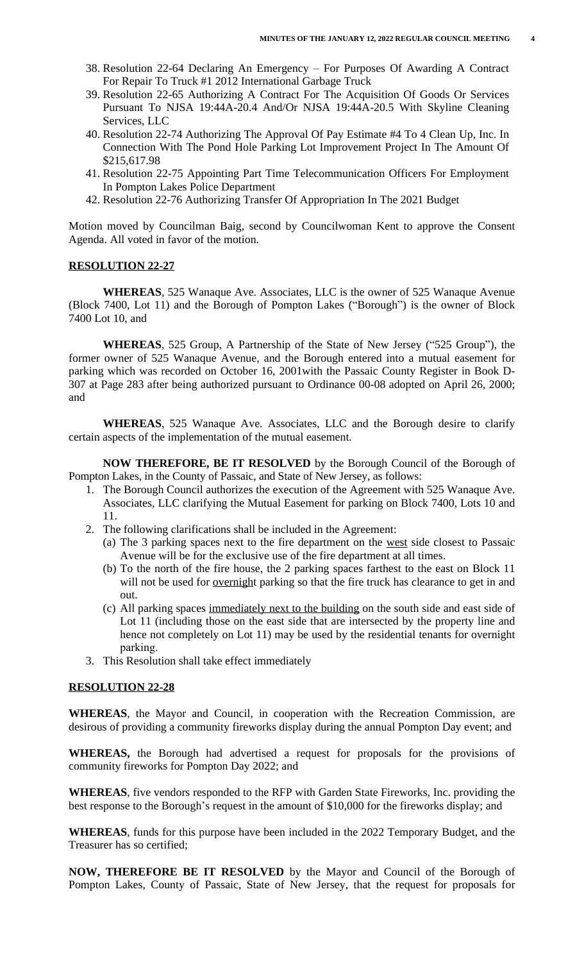- 38. Resolution 22-64 Declaring An Emergency For Purposes Of Awarding A Contract For Repair To Truck #1 2012 International Garbage Truck
- 39. Resolution 22-65 Authorizing A Contract For The Acquisition Of Goods Or Services Pursuant To NJSA 19:44A-20.4 And/Or NJSA 19:44A-20.5 With Skyline Cleaning Services, LLC
- 40. Resolution 22-74 Authorizing The Approval Of Pay Estimate #4 To 4 Clean Up, Inc. In Connection With The Pond Hole Parking Lot Improvement Project In The Amount Of \$215,617.98
- 41. Resolution 22-75 Appointing Part Time Telecommunication Officers For Employment In Pompton Lakes Police Department
- 42. Resolution 22-76 Authorizing Transfer Of Appropriation In The 2021 Budget

Motion moved by Councilman Baig, second by Councilwoman Kent to approve the Consent Agenda. All voted in favor of the motion.

#### **RESOLUTION 22-27**

**WHEREAS**, 525 Wanaque Ave. Associates, LLC is the owner of 525 Wanaque Avenue (Block 7400, Lot 11) and the Borough of Pompton Lakes ("Borough") is the owner of Block 7400 Lot 10, and

**WHEREAS**, 525 Group, A Partnership of the State of New Jersey ("525 Group"), the former owner of 525 Wanaque Avenue, and the Borough entered into a mutual easement for parking which was recorded on October 16, 2001with the Passaic County Register in Book D-307 at Page 283 after being authorized pursuant to Ordinance 00-08 adopted on April 26, 2000; and

**WHEREAS**, 525 Wanaque Ave. Associates, LLC and the Borough desire to clarify certain aspects of the implementation of the mutual easement.

**NOW THEREFORE, BE IT RESOLVED** by the Borough Council of the Borough of Pompton Lakes, in the County of Passaic, and State of New Jersey, as follows:

- 1. The Borough Council authorizes the execution of the Agreement with 525 Wanaque Ave. Associates, LLC clarifying the Mutual Easement for parking on Block 7400, Lots 10 and 11.
- 2. The following clarifications shall be included in the Agreement:
	- (a) The 3 parking spaces next to the fire department on the west side closest to Passaic Avenue will be for the exclusive use of the fire department at all times.
	- (b) To the north of the fire house, the 2 parking spaces farthest to the east on Block 11 will not be used for <u>overnight</u> parking so that the fire truck has clearance to get in and out.
	- (c) All parking spaces immediately next to the building on the south side and east side of Lot 11 (including those on the east side that are intersected by the property line and hence not completely on Lot 11) may be used by the residential tenants for overnight parking.
- 3. This Resolution shall take effect immediately

#### **RESOLUTION 22-28**

**WHEREAS**, the Mayor and Council, in cooperation with the Recreation Commission, are desirous of providing a community fireworks display during the annual Pompton Day event; and

**WHEREAS,** the Borough had advertised a request for proposals for the provisions of community fireworks for Pompton Day 2022; and

**WHEREAS**, five vendors responded to the RFP with Garden State Fireworks, Inc. providing the best response to the Borough's request in the amount of \$10,000 for the fireworks display; and

**WHEREAS**, funds for this purpose have been included in the 2022 Temporary Budget, and the Treasurer has so certified;

**NOW, THEREFORE BE IT RESOLVED** by the Mayor and Council of the Borough of Pompton Lakes, County of Passaic, State of New Jersey, that the request for proposals for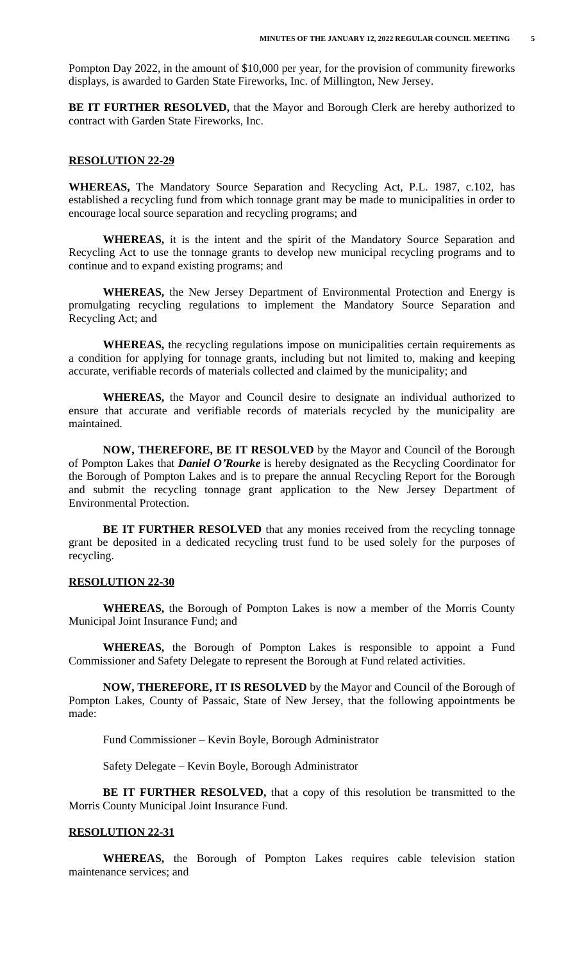Pompton Day 2022, in the amount of \$10,000 per year, for the provision of community fireworks displays, is awarded to Garden State Fireworks, Inc. of Millington, New Jersey.

**BE IT FURTHER RESOLVED,** that the Mayor and Borough Clerk are hereby authorized to contract with Garden State Fireworks, Inc.

#### **RESOLUTION 22-29**

**WHEREAS,** The Mandatory Source Separation and Recycling Act, P.L. 1987, c.102, has established a recycling fund from which tonnage grant may be made to municipalities in order to encourage local source separation and recycling programs; and

**WHEREAS,** it is the intent and the spirit of the Mandatory Source Separation and Recycling Act to use the tonnage grants to develop new municipal recycling programs and to continue and to expand existing programs; and

**WHEREAS,** the New Jersey Department of Environmental Protection and Energy is promulgating recycling regulations to implement the Mandatory Source Separation and Recycling Act; and

**WHEREAS,** the recycling regulations impose on municipalities certain requirements as a condition for applying for tonnage grants, including but not limited to, making and keeping accurate, verifiable records of materials collected and claimed by the municipality; and

**WHEREAS,** the Mayor and Council desire to designate an individual authorized to ensure that accurate and verifiable records of materials recycled by the municipality are maintained.

**NOW, THEREFORE, BE IT RESOLVED** by the Mayor and Council of the Borough of Pompton Lakes that *Daniel O'Rourke* is hereby designated as the Recycling Coordinator for the Borough of Pompton Lakes and is to prepare the annual Recycling Report for the Borough and submit the recycling tonnage grant application to the New Jersey Department of Environmental Protection.

**BE IT FURTHER RESOLVED** that any monies received from the recycling tonnage grant be deposited in a dedicated recycling trust fund to be used solely for the purposes of recycling.

#### **RESOLUTION 22-30**

**WHEREAS,** the Borough of Pompton Lakes is now a member of the Morris County Municipal Joint Insurance Fund; and

**WHEREAS,** the Borough of Pompton Lakes is responsible to appoint a Fund Commissioner and Safety Delegate to represent the Borough at Fund related activities.

**NOW, THEREFORE, IT IS RESOLVED** by the Mayor and Council of the Borough of Pompton Lakes, County of Passaic, State of New Jersey, that the following appointments be made:

Fund Commissioner – Kevin Boyle, Borough Administrator

Safety Delegate – Kevin Boyle, Borough Administrator

**BE IT FURTHER RESOLVED,** that a copy of this resolution be transmitted to the Morris County Municipal Joint Insurance Fund.

#### **RESOLUTION 22-31**

**WHEREAS,** the Borough of Pompton Lakes requires cable television station maintenance services; and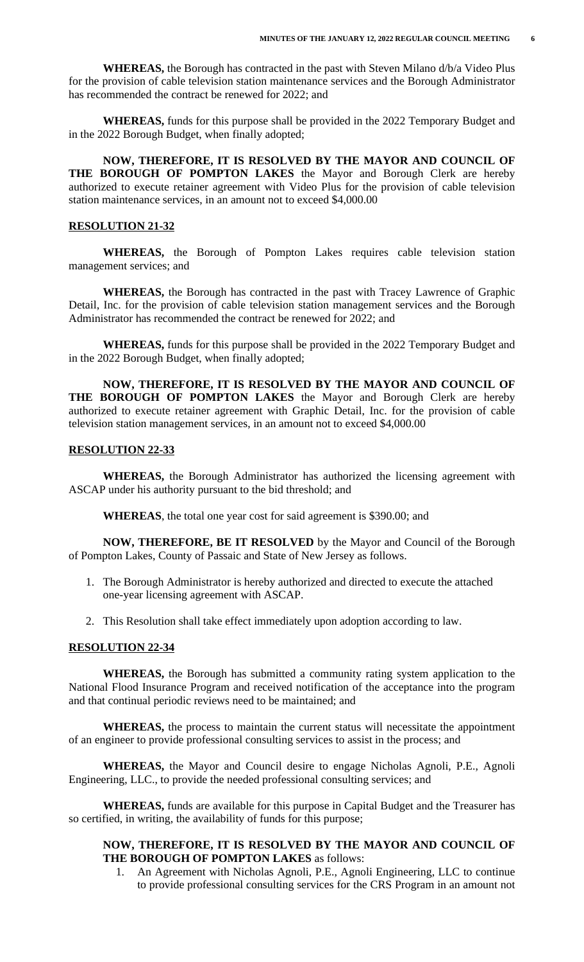**WHEREAS,** the Borough has contracted in the past with Steven Milano d/b/a Video Plus for the provision of cable television station maintenance services and the Borough Administrator has recommended the contract be renewed for 2022; and

**WHEREAS,** funds for this purpose shall be provided in the 2022 Temporary Budget and in the 2022 Borough Budget, when finally adopted;

**NOW, THEREFORE, IT IS RESOLVED BY THE MAYOR AND COUNCIL OF THE BOROUGH OF POMPTON LAKES** the Mayor and Borough Clerk are hereby authorized to execute retainer agreement with Video Plus for the provision of cable television station maintenance services, in an amount not to exceed \$4,000.00

### **RESOLUTION 21-32**

**WHEREAS,** the Borough of Pompton Lakes requires cable television station management services; and

**WHEREAS,** the Borough has contracted in the past with Tracey Lawrence of Graphic Detail, Inc. for the provision of cable television station management services and the Borough Administrator has recommended the contract be renewed for 2022; and

**WHEREAS,** funds for this purpose shall be provided in the 2022 Temporary Budget and in the 2022 Borough Budget, when finally adopted;

**NOW, THEREFORE, IT IS RESOLVED BY THE MAYOR AND COUNCIL OF THE BOROUGH OF POMPTON LAKES** the Mayor and Borough Clerk are hereby authorized to execute retainer agreement with Graphic Detail, Inc. for the provision of cable television station management services, in an amount not to exceed \$4,000.00

## **RESOLUTION 22-33**

**WHEREAS,** the Borough Administrator has authorized the licensing agreement with ASCAP under his authority pursuant to the bid threshold; and

**WHEREAS**, the total one year cost for said agreement is \$390.00; and

**NOW, THEREFORE, BE IT RESOLVED** by the Mayor and Council of the Borough of Pompton Lakes, County of Passaic and State of New Jersey as follows.

- 1. The Borough Administrator is hereby authorized and directed to execute the attached one-year licensing agreement with ASCAP.
- 2. This Resolution shall take effect immediately upon adoption according to law.

#### **RESOLUTION 22-34**

**WHEREAS,** the Borough has submitted a community rating system application to the National Flood Insurance Program and received notification of the acceptance into the program and that continual periodic reviews need to be maintained; and

 **WHEREAS,** the process to maintain the current status will necessitate the appointment of an engineer to provide professional consulting services to assist in the process; and

 **WHEREAS,** the Mayor and Council desire to engage Nicholas Agnoli, P.E., Agnoli Engineering, LLC., to provide the needed professional consulting services; and

 **WHEREAS,** funds are available for this purpose in Capital Budget and the Treasurer has so certified, in writing, the availability of funds for this purpose;

# **NOW, THEREFORE, IT IS RESOLVED BY THE MAYOR AND COUNCIL OF THE BOROUGH OF POMPTON LAKES** as follows:

1. An Agreement with Nicholas Agnoli, P.E., Agnoli Engineering, LLC to continue to provide professional consulting services for the CRS Program in an amount not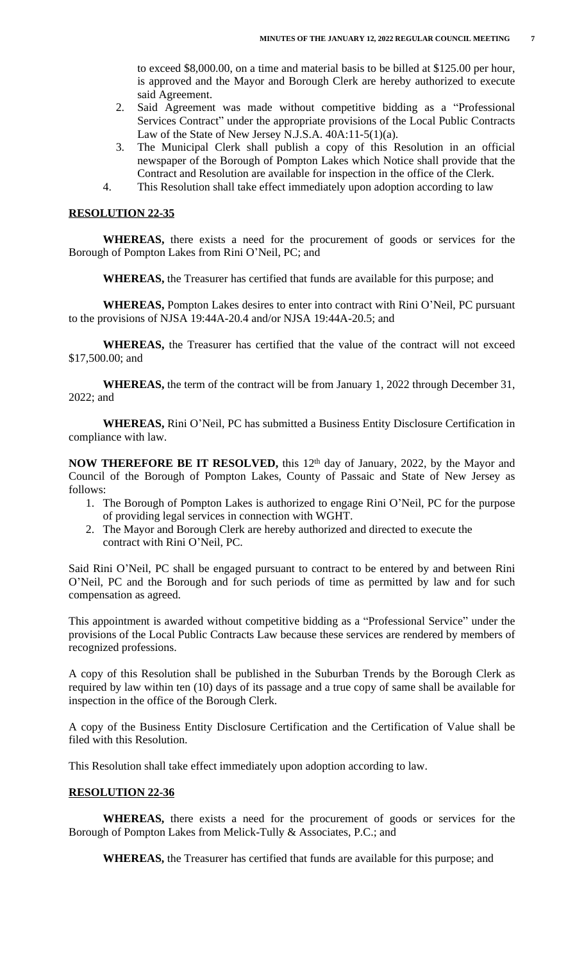to exceed \$8,000.00, on a time and material basis to be billed at \$125.00 per hour, is approved and the Mayor and Borough Clerk are hereby authorized to execute said Agreement.

- 2. Said Agreement was made without competitive bidding as a "Professional Services Contract" under the appropriate provisions of the Local Public Contracts Law of the State of New Jersey N.J.S.A. 40A:11-5(1)(a).
- 3. The Municipal Clerk shall publish a copy of this Resolution in an official newspaper of the Borough of Pompton Lakes which Notice shall provide that the Contract and Resolution are available for inspection in the office of the Clerk.
- 4. This Resolution shall take effect immediately upon adoption according to law

### **RESOLUTION 22-35**

**WHEREAS,** there exists a need for the procurement of goods or services for the Borough of Pompton Lakes from Rini O'Neil, PC; and

**WHEREAS,** the Treasurer has certified that funds are available for this purpose; and

**WHEREAS,** Pompton Lakes desires to enter into contract with Rini O'Neil, PC pursuant to the provisions of NJSA 19:44A-20.4 and/or NJSA 19:44A-20.5; and

**WHEREAS,** the Treasurer has certified that the value of the contract will not exceed \$17,500.00; and

**WHEREAS,** the term of the contract will be from January 1, 2022 through December 31, 2022; and

**WHEREAS,** Rini O'Neil, PC has submitted a Business Entity Disclosure Certification in compliance with law.

**NOW THEREFORE BE IT RESOLVED,** this 12th day of January, 2022, by the Mayor and Council of the Borough of Pompton Lakes, County of Passaic and State of New Jersey as follows:

- 1. The Borough of Pompton Lakes is authorized to engage Rini O'Neil, PC for the purpose of providing legal services in connection with WGHT.
- 2. The Mayor and Borough Clerk are hereby authorized and directed to execute the contract with Rini O'Neil, PC.

Said Rini O'Neil, PC shall be engaged pursuant to contract to be entered by and between Rini O'Neil, PC and the Borough and for such periods of time as permitted by law and for such compensation as agreed.

This appointment is awarded without competitive bidding as a "Professional Service" under the provisions of the Local Public Contracts Law because these services are rendered by members of recognized professions.

A copy of this Resolution shall be published in the Suburban Trends by the Borough Clerk as required by law within ten (10) days of its passage and a true copy of same shall be available for inspection in the office of the Borough Clerk.

A copy of the Business Entity Disclosure Certification and the Certification of Value shall be filed with this Resolution.

This Resolution shall take effect immediately upon adoption according to law.

### **RESOLUTION 22-36**

**WHEREAS,** there exists a need for the procurement of goods or services for the Borough of Pompton Lakes from Melick-Tully & Associates, P.C.; and

**WHEREAS,** the Treasurer has certified that funds are available for this purpose; and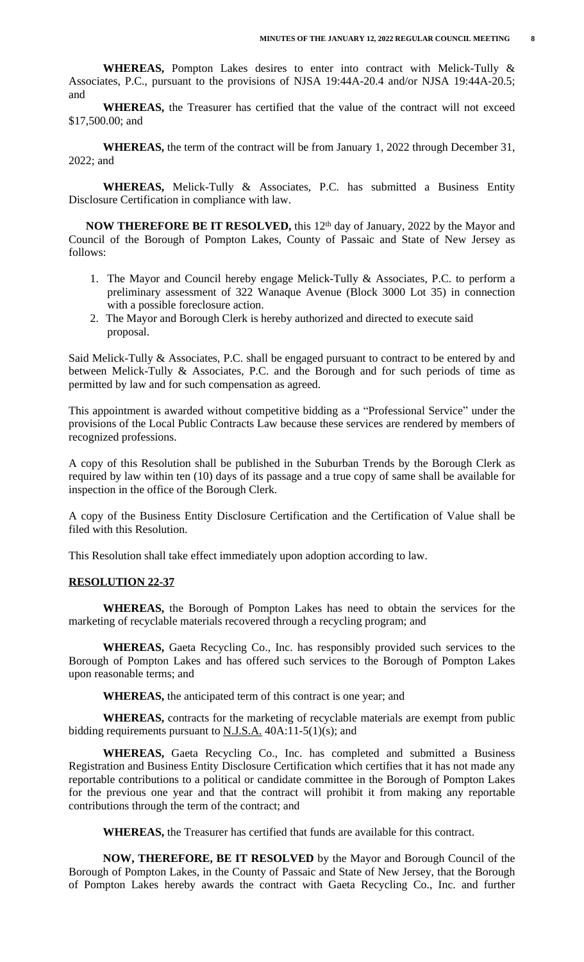**WHEREAS,** Pompton Lakes desires to enter into contract with Melick-Tully & Associates, P.C., pursuant to the provisions of NJSA 19:44A-20.4 and/or NJSA 19:44A-20.5; and

**WHEREAS,** the Treasurer has certified that the value of the contract will not exceed \$17,500.00; and

**WHEREAS,** the term of the contract will be from January 1, 2022 through December 31, 2022; and

**WHEREAS,** Melick-Tully & Associates, P.C. has submitted a Business Entity Disclosure Certification in compliance with law.

**NOW THEREFORE BE IT RESOLVED,** this 12th day of January, 2022 by the Mayor and Council of the Borough of Pompton Lakes, County of Passaic and State of New Jersey as follows:

- 1. The Mayor and Council hereby engage Melick-Tully & Associates, P.C. to perform a preliminary assessment of 322 Wanaque Avenue (Block 3000 Lot 35) in connection with a possible foreclosure action.
- 2. The Mayor and Borough Clerk is hereby authorized and directed to execute said proposal.

Said Melick-Tully & Associates, P.C. shall be engaged pursuant to contract to be entered by and between Melick-Tully & Associates, P.C. and the Borough and for such periods of time as permitted by law and for such compensation as agreed.

This appointment is awarded without competitive bidding as a "Professional Service" under the provisions of the Local Public Contracts Law because these services are rendered by members of recognized professions.

A copy of this Resolution shall be published in the Suburban Trends by the Borough Clerk as required by law within ten (10) days of its passage and a true copy of same shall be available for inspection in the office of the Borough Clerk.

A copy of the Business Entity Disclosure Certification and the Certification of Value shall be filed with this Resolution.

This Resolution shall take effect immediately upon adoption according to law.

### **RESOLUTION 22-37**

**WHEREAS,** the Borough of Pompton Lakes has need to obtain the services for the marketing of recyclable materials recovered through a recycling program; and

**WHEREAS,** Gaeta Recycling Co., Inc. has responsibly provided such services to the Borough of Pompton Lakes and has offered such services to the Borough of Pompton Lakes upon reasonable terms; and

**WHEREAS,** the anticipated term of this contract is one year; and

**WHEREAS,** contracts for the marketing of recyclable materials are exempt from public bidding requirements pursuant to  $N.J.S.A.$  40A:11-5(1)(s); and

**WHEREAS,** Gaeta Recycling Co., Inc. has completed and submitted a Business Registration and Business Entity Disclosure Certification which certifies that it has not made any reportable contributions to a political or candidate committee in the Borough of Pompton Lakes for the previous one year and that the contract will prohibit it from making any reportable contributions through the term of the contract; and

**WHEREAS,** the Treasurer has certified that funds are available for this contract.

**NOW, THEREFORE, BE IT RESOLVED** by the Mayor and Borough Council of the Borough of Pompton Lakes, in the County of Passaic and State of New Jersey, that the Borough of Pompton Lakes hereby awards the contract with Gaeta Recycling Co., Inc. and further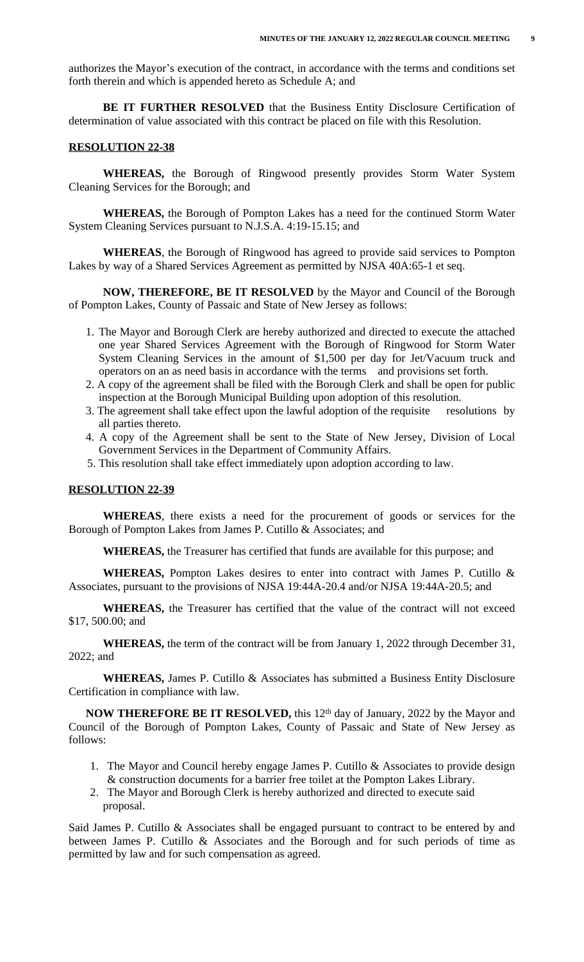authorizes the Mayor's execution of the contract, in accordance with the terms and conditions set forth therein and which is appended hereto as Schedule A; and

**BE IT FURTHER RESOLVED** that the Business Entity Disclosure Certification of determination of value associated with this contract be placed on file with this Resolution.

# **RESOLUTION 22-38**

**WHEREAS,** the Borough of Ringwood presently provides Storm Water System Cleaning Services for the Borough; and

**WHEREAS,** the Borough of Pompton Lakes has a need for the continued Storm Water System Cleaning Services pursuant to N.J.S.A. 4:19-15.15; and

**WHEREAS**, the Borough of Ringwood has agreed to provide said services to Pompton Lakes by way of a Shared Services Agreement as permitted by NJSA 40A:65-1 et seq.

**NOW, THEREFORE, BE IT RESOLVED** by the Mayor and Council of the Borough of Pompton Lakes, County of Passaic and State of New Jersey as follows:

- 1. The Mayor and Borough Clerk are hereby authorized and directed to execute the attached one year Shared Services Agreement with the Borough of Ringwood for Storm Water System Cleaning Services in the amount of \$1,500 per day for Jet/Vacuum truck and operators on an as need basis in accordance with the terms and provisions set forth.
- 2. A copy of the agreement shall be filed with the Borough Clerk and shall be open for public inspection at the Borough Municipal Building upon adoption of this resolution.
- 3. The agreement shall take effect upon the lawful adoption of the requisite resolutions by all parties thereto.
- 4. A copy of the Agreement shall be sent to the State of New Jersey, Division of Local Government Services in the Department of Community Affairs.
- 5. This resolution shall take effect immediately upon adoption according to law.

#### **RESOLUTION 22-39**

**WHEREAS**, there exists a need for the procurement of goods or services for the Borough of Pompton Lakes from James P. Cutillo & Associates; and

**WHEREAS,** the Treasurer has certified that funds are available for this purpose; and

**WHEREAS,** Pompton Lakes desires to enter into contract with James P. Cutillo & Associates, pursuant to the provisions of NJSA 19:44A-20.4 and/or NJSA 19:44A-20.5; and

**WHEREAS,** the Treasurer has certified that the value of the contract will not exceed \$17, 500.00; and

**WHEREAS,** the term of the contract will be from January 1, 2022 through December 31, 2022; and

**WHEREAS,** James P. Cutillo & Associates has submitted a Business Entity Disclosure Certification in compliance with law.

**NOW THEREFORE BE IT RESOLVED,** this 12th day of January, 2022 by the Mayor and Council of the Borough of Pompton Lakes, County of Passaic and State of New Jersey as follows:

- 1. The Mayor and Council hereby engage James P. Cutillo & Associates to provide design & construction documents for a barrier free toilet at the Pompton Lakes Library.
- 2. The Mayor and Borough Clerk is hereby authorized and directed to execute said proposal.

Said James P. Cutillo & Associates shall be engaged pursuant to contract to be entered by and between James P. Cutillo & Associates and the Borough and for such periods of time as permitted by law and for such compensation as agreed.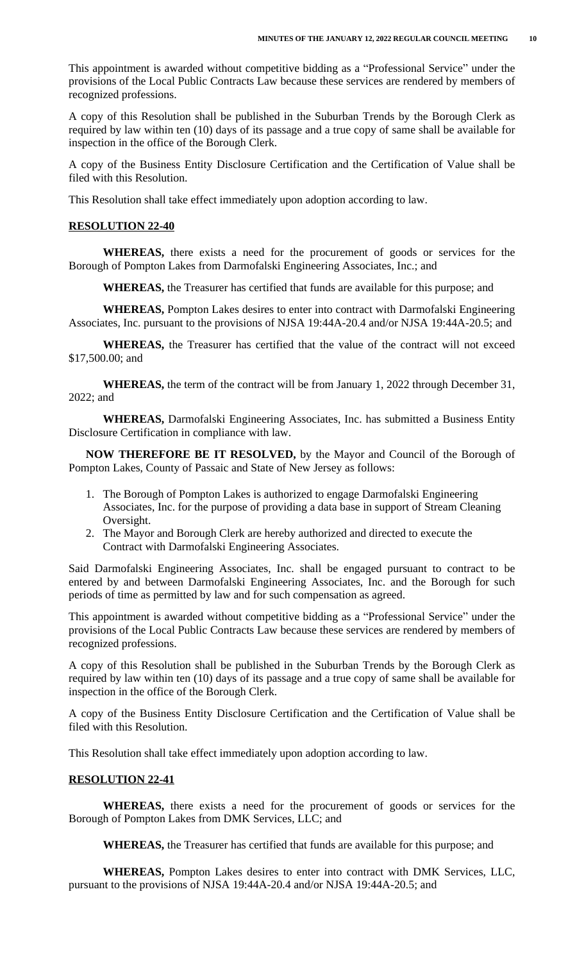This appointment is awarded without competitive bidding as a "Professional Service" under the provisions of the Local Public Contracts Law because these services are rendered by members of recognized professions.

A copy of this Resolution shall be published in the Suburban Trends by the Borough Clerk as required by law within ten (10) days of its passage and a true copy of same shall be available for inspection in the office of the Borough Clerk.

A copy of the Business Entity Disclosure Certification and the Certification of Value shall be filed with this Resolution.

This Resolution shall take effect immediately upon adoption according to law.

#### **RESOLUTION 22-40**

**WHEREAS,** there exists a need for the procurement of goods or services for the Borough of Pompton Lakes from Darmofalski Engineering Associates, Inc.; and

**WHEREAS,** the Treasurer has certified that funds are available for this purpose; and

**WHEREAS,** Pompton Lakes desires to enter into contract with Darmofalski Engineering Associates, Inc. pursuant to the provisions of NJSA 19:44A-20.4 and/or NJSA 19:44A-20.5; and

**WHEREAS,** the Treasurer has certified that the value of the contract will not exceed \$17,500.00; and

**WHEREAS,** the term of the contract will be from January 1, 2022 through December 31, 2022; and

**WHEREAS,** Darmofalski Engineering Associates, Inc. has submitted a Business Entity Disclosure Certification in compliance with law.

**NOW THEREFORE BE IT RESOLVED,** by the Mayor and Council of the Borough of Pompton Lakes, County of Passaic and State of New Jersey as follows:

- 1. The Borough of Pompton Lakes is authorized to engage Darmofalski Engineering Associates, Inc. for the purpose of providing a data base in support of Stream Cleaning Oversight.
- 2. The Mayor and Borough Clerk are hereby authorized and directed to execute the Contract with Darmofalski Engineering Associates.

Said Darmofalski Engineering Associates, Inc. shall be engaged pursuant to contract to be entered by and between Darmofalski Engineering Associates, Inc. and the Borough for such periods of time as permitted by law and for such compensation as agreed.

This appointment is awarded without competitive bidding as a "Professional Service" under the provisions of the Local Public Contracts Law because these services are rendered by members of recognized professions.

A copy of this Resolution shall be published in the Suburban Trends by the Borough Clerk as required by law within ten (10) days of its passage and a true copy of same shall be available for inspection in the office of the Borough Clerk.

A copy of the Business Entity Disclosure Certification and the Certification of Value shall be filed with this Resolution.

This Resolution shall take effect immediately upon adoption according to law.

# **RESOLUTION 22-41**

**WHEREAS,** there exists a need for the procurement of goods or services for the Borough of Pompton Lakes from DMK Services, LLC; and

**WHEREAS,** the Treasurer has certified that funds are available for this purpose; and

**WHEREAS,** Pompton Lakes desires to enter into contract with DMK Services, LLC, pursuant to the provisions of NJSA 19:44A-20.4 and/or NJSA 19:44A-20.5; and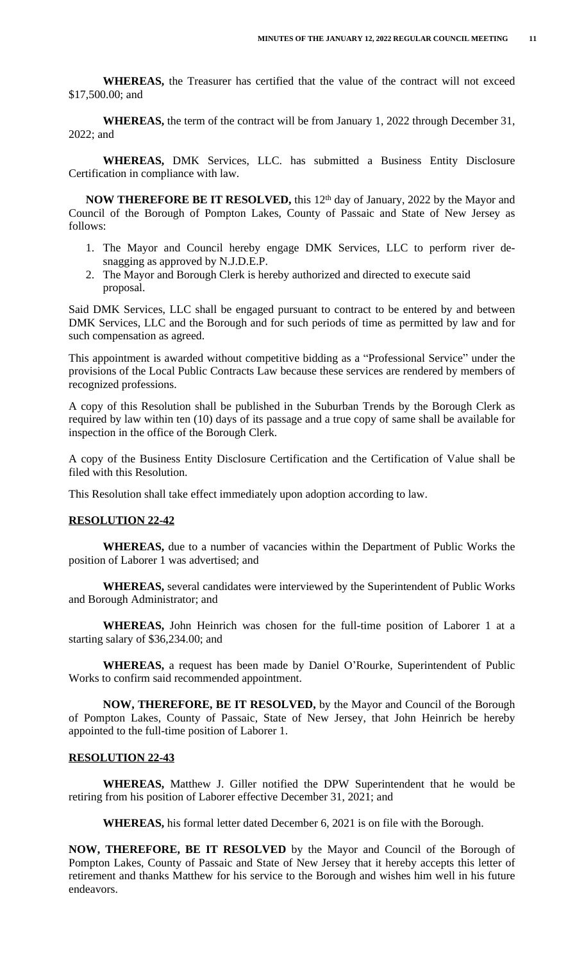**WHEREAS,** the Treasurer has certified that the value of the contract will not exceed \$17,500.00; and

**WHEREAS,** the term of the contract will be from January 1, 2022 through December 31, 2022; and

**WHEREAS,** DMK Services, LLC. has submitted a Business Entity Disclosure Certification in compliance with law.

**NOW THEREFORE BE IT RESOLVED,** this 12th day of January, 2022 by the Mayor and Council of the Borough of Pompton Lakes, County of Passaic and State of New Jersey as follows:

- 1. The Mayor and Council hereby engage DMK Services, LLC to perform river desnagging as approved by N.J.D.E.P.
- 2. The Mayor and Borough Clerk is hereby authorized and directed to execute said proposal.

Said DMK Services, LLC shall be engaged pursuant to contract to be entered by and between DMK Services, LLC and the Borough and for such periods of time as permitted by law and for such compensation as agreed.

This appointment is awarded without competitive bidding as a "Professional Service" under the provisions of the Local Public Contracts Law because these services are rendered by members of recognized professions.

A copy of this Resolution shall be published in the Suburban Trends by the Borough Clerk as required by law within ten (10) days of its passage and a true copy of same shall be available for inspection in the office of the Borough Clerk.

A copy of the Business Entity Disclosure Certification and the Certification of Value shall be filed with this Resolution.

This Resolution shall take effect immediately upon adoption according to law.

### **RESOLUTION 22-42**

**WHEREAS,** due to a number of vacancies within the Department of Public Works the position of Laborer 1 was advertised; and

**WHEREAS,** several candidates were interviewed by the Superintendent of Public Works and Borough Administrator; and

**WHEREAS,** John Heinrich was chosen for the full-time position of Laborer 1 at a starting salary of \$36,234.00; and

**WHEREAS,** a request has been made by Daniel O'Rourke, Superintendent of Public Works to confirm said recommended appointment.

**NOW, THEREFORE, BE IT RESOLVED,** by the Mayor and Council of the Borough of Pompton Lakes, County of Passaic, State of New Jersey, that John Heinrich be hereby appointed to the full-time position of Laborer 1.

## **RESOLUTION 22-43**

**WHEREAS,** Matthew J. Giller notified the DPW Superintendent that he would be retiring from his position of Laborer effective December 31, 2021; and

**WHEREAS,** his formal letter dated December 6, 2021 is on file with the Borough.

**NOW, THEREFORE, BE IT RESOLVED** by the Mayor and Council of the Borough of Pompton Lakes, County of Passaic and State of New Jersey that it hereby accepts this letter of retirement and thanks Matthew for his service to the Borough and wishes him well in his future endeavors.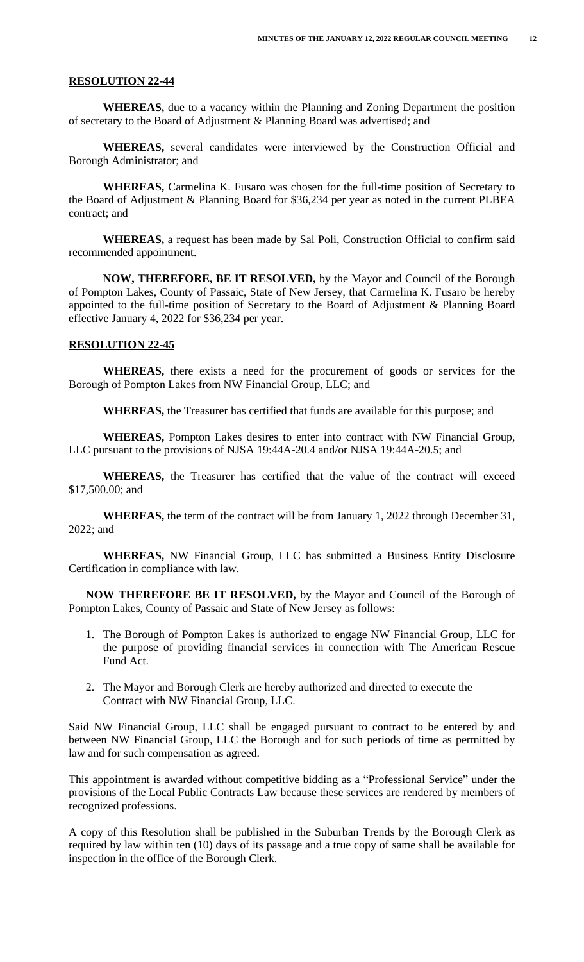#### **RESOLUTION 22-44**

**WHEREAS,** due to a vacancy within the Planning and Zoning Department the position of secretary to the Board of Adjustment & Planning Board was advertised; and

**WHEREAS,** several candidates were interviewed by the Construction Official and Borough Administrator; and

**WHEREAS,** Carmelina K. Fusaro was chosen for the full-time position of Secretary to the Board of Adjustment & Planning Board for \$36,234 per year as noted in the current PLBEA contract; and

**WHEREAS,** a request has been made by Sal Poli, Construction Official to confirm said recommended appointment.

**NOW, THEREFORE, BE IT RESOLVED,** by the Mayor and Council of the Borough of Pompton Lakes, County of Passaic, State of New Jersey, that Carmelina K. Fusaro be hereby appointed to the full-time position of Secretary to the Board of Adjustment & Planning Board effective January 4, 2022 for \$36,234 per year.

### **RESOLUTION 22-45**

**WHEREAS,** there exists a need for the procurement of goods or services for the Borough of Pompton Lakes from NW Financial Group, LLC; and

**WHEREAS,** the Treasurer has certified that funds are available for this purpose; and

**WHEREAS,** Pompton Lakes desires to enter into contract with NW Financial Group, LLC pursuant to the provisions of NJSA 19:44A-20.4 and/or NJSA 19:44A-20.5; and

**WHEREAS,** the Treasurer has certified that the value of the contract will exceed \$17,500.00; and

**WHEREAS,** the term of the contract will be from January 1, 2022 through December 31, 2022; and

**WHEREAS,** NW Financial Group, LLC has submitted a Business Entity Disclosure Certification in compliance with law.

**NOW THEREFORE BE IT RESOLVED,** by the Mayor and Council of the Borough of Pompton Lakes, County of Passaic and State of New Jersey as follows:

- 1. The Borough of Pompton Lakes is authorized to engage NW Financial Group, LLC for the purpose of providing financial services in connection with The American Rescue Fund Act.
- 2. The Mayor and Borough Clerk are hereby authorized and directed to execute the Contract with NW Financial Group, LLC.

Said NW Financial Group, LLC shall be engaged pursuant to contract to be entered by and between NW Financial Group, LLC the Borough and for such periods of time as permitted by law and for such compensation as agreed.

This appointment is awarded without competitive bidding as a "Professional Service" under the provisions of the Local Public Contracts Law because these services are rendered by members of recognized professions.

A copy of this Resolution shall be published in the Suburban Trends by the Borough Clerk as required by law within ten (10) days of its passage and a true copy of same shall be available for inspection in the office of the Borough Clerk.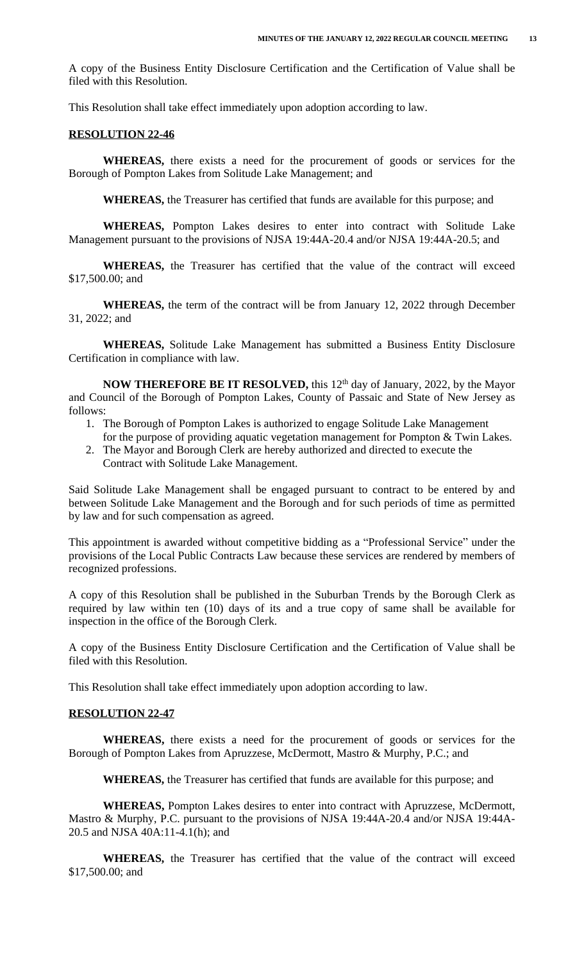A copy of the Business Entity Disclosure Certification and the Certification of Value shall be filed with this Resolution.

This Resolution shall take effect immediately upon adoption according to law.

#### **RESOLUTION 22-46**

**WHEREAS,** there exists a need for the procurement of goods or services for the Borough of Pompton Lakes from Solitude Lake Management; and

**WHEREAS,** the Treasurer has certified that funds are available for this purpose; and

**WHEREAS,** Pompton Lakes desires to enter into contract with Solitude Lake Management pursuant to the provisions of NJSA 19:44A-20.4 and/or NJSA 19:44A-20.5; and

**WHEREAS,** the Treasurer has certified that the value of the contract will exceed \$17,500.00; and

**WHEREAS,** the term of the contract will be from January 12, 2022 through December 31, 2022; and

**WHEREAS,** Solitude Lake Management has submitted a Business Entity Disclosure Certification in compliance with law.

**NOW THEREFORE BE IT RESOLVED,** this 12th day of January, 2022, by the Mayor and Council of the Borough of Pompton Lakes, County of Passaic and State of New Jersey as follows:

- 1. The Borough of Pompton Lakes is authorized to engage Solitude Lake Management for the purpose of providing aquatic vegetation management for Pompton & Twin Lakes.
- 2. The Mayor and Borough Clerk are hereby authorized and directed to execute the Contract with Solitude Lake Management.

Said Solitude Lake Management shall be engaged pursuant to contract to be entered by and between Solitude Lake Management and the Borough and for such periods of time as permitted by law and for such compensation as agreed.

This appointment is awarded without competitive bidding as a "Professional Service" under the provisions of the Local Public Contracts Law because these services are rendered by members of recognized professions.

A copy of this Resolution shall be published in the Suburban Trends by the Borough Clerk as required by law within ten (10) days of its and a true copy of same shall be available for inspection in the office of the Borough Clerk.

A copy of the Business Entity Disclosure Certification and the Certification of Value shall be filed with this Resolution.

This Resolution shall take effect immediately upon adoption according to law.

### **RESOLUTION 22-47**

**WHEREAS,** there exists a need for the procurement of goods or services for the Borough of Pompton Lakes from Apruzzese, McDermott, Mastro & Murphy, P.C.; and

**WHEREAS,** the Treasurer has certified that funds are available for this purpose; and

**WHEREAS,** Pompton Lakes desires to enter into contract with Apruzzese, McDermott, Mastro & Murphy, P.C. pursuant to the provisions of NJSA 19:44A-20.4 and/or NJSA 19:44A-20.5 and NJSA 40A:11-4.1(h); and

**WHEREAS,** the Treasurer has certified that the value of the contract will exceed \$17,500.00; and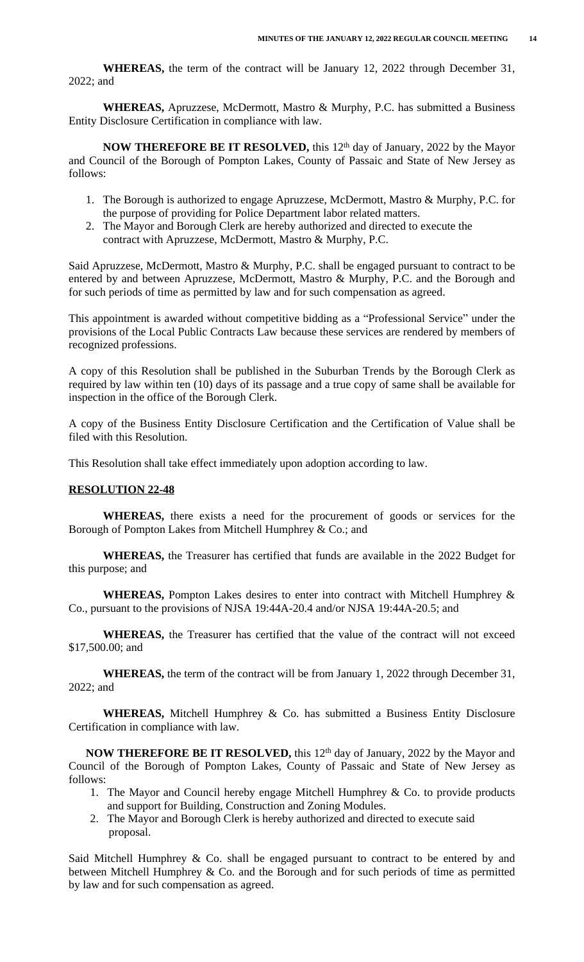**WHEREAS,** the term of the contract will be January 12, 2022 through December 31, 2022; and

**WHEREAS,** Apruzzese, McDermott, Mastro & Murphy, P.C. has submitted a Business Entity Disclosure Certification in compliance with law.

**NOW THEREFORE BE IT RESOLVED,** this 12th day of January, 2022 by the Mayor and Council of the Borough of Pompton Lakes, County of Passaic and State of New Jersey as follows:

- 1. The Borough is authorized to engage Apruzzese, McDermott, Mastro & Murphy, P.C. for the purpose of providing for Police Department labor related matters.
- 2. The Mayor and Borough Clerk are hereby authorized and directed to execute the contract with Apruzzese, McDermott, Mastro & Murphy, P.C.

Said Apruzzese, McDermott, Mastro & Murphy, P.C. shall be engaged pursuant to contract to be entered by and between Apruzzese, McDermott, Mastro & Murphy, P.C. and the Borough and for such periods of time as permitted by law and for such compensation as agreed.

This appointment is awarded without competitive bidding as a "Professional Service" under the provisions of the Local Public Contracts Law because these services are rendered by members of recognized professions.

A copy of this Resolution shall be published in the Suburban Trends by the Borough Clerk as required by law within ten (10) days of its passage and a true copy of same shall be available for inspection in the office of the Borough Clerk.

A copy of the Business Entity Disclosure Certification and the Certification of Value shall be filed with this Resolution.

This Resolution shall take effect immediately upon adoption according to law.

#### **RESOLUTION 22-48**

**WHEREAS,** there exists a need for the procurement of goods or services for the Borough of Pompton Lakes from Mitchell Humphrey & Co.; and

**WHEREAS,** the Treasurer has certified that funds are available in the 2022 Budget for this purpose; and

**WHEREAS,** Pompton Lakes desires to enter into contract with Mitchell Humphrey & Co., pursuant to the provisions of NJSA 19:44A-20.4 and/or NJSA 19:44A-20.5; and

**WHEREAS,** the Treasurer has certified that the value of the contract will not exceed \$17,500.00; and

**WHEREAS,** the term of the contract will be from January 1, 2022 through December 31, 2022; and

**WHEREAS,** Mitchell Humphrey & Co. has submitted a Business Entity Disclosure Certification in compliance with law.

**NOW THEREFORE BE IT RESOLVED,** this 12th day of January, 2022 by the Mayor and Council of the Borough of Pompton Lakes, County of Passaic and State of New Jersey as follows:

- 1. The Mayor and Council hereby engage Mitchell Humphrey & Co. to provide products and support for Building, Construction and Zoning Modules.
- 2. The Mayor and Borough Clerk is hereby authorized and directed to execute said proposal.

Said Mitchell Humphrey & Co. shall be engaged pursuant to contract to be entered by and between Mitchell Humphrey & Co. and the Borough and for such periods of time as permitted by law and for such compensation as agreed.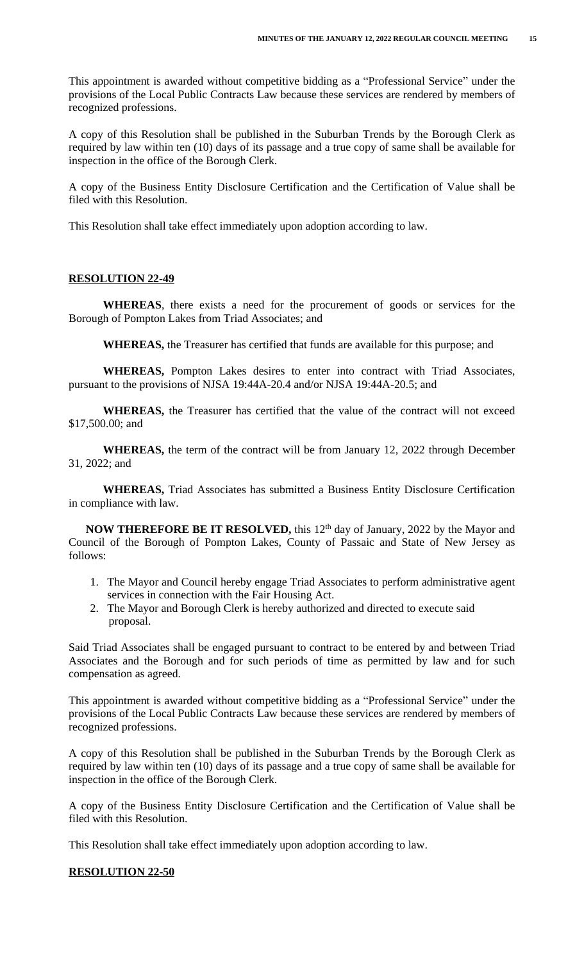This appointment is awarded without competitive bidding as a "Professional Service" under the provisions of the Local Public Contracts Law because these services are rendered by members of recognized professions.

A copy of this Resolution shall be published in the Suburban Trends by the Borough Clerk as required by law within ten (10) days of its passage and a true copy of same shall be available for inspection in the office of the Borough Clerk.

A copy of the Business Entity Disclosure Certification and the Certification of Value shall be filed with this Resolution.

This Resolution shall take effect immediately upon adoption according to law.

# **RESOLUTION 22-49**

**WHEREAS**, there exists a need for the procurement of goods or services for the Borough of Pompton Lakes from Triad Associates; and

**WHEREAS,** the Treasurer has certified that funds are available for this purpose; and

**WHEREAS,** Pompton Lakes desires to enter into contract with Triad Associates, pursuant to the provisions of NJSA 19:44A-20.4 and/or NJSA 19:44A-20.5; and

**WHEREAS,** the Treasurer has certified that the value of the contract will not exceed \$17,500.00; and

**WHEREAS,** the term of the contract will be from January 12, 2022 through December 31, 2022; and

**WHEREAS,** Triad Associates has submitted a Business Entity Disclosure Certification in compliance with law.

**NOW THEREFORE BE IT RESOLVED,** this 12th day of January, 2022 by the Mayor and Council of the Borough of Pompton Lakes, County of Passaic and State of New Jersey as follows:

- 1. The Mayor and Council hereby engage Triad Associates to perform administrative agent services in connection with the Fair Housing Act.
- 2. The Mayor and Borough Clerk is hereby authorized and directed to execute said proposal.

Said Triad Associates shall be engaged pursuant to contract to be entered by and between Triad Associates and the Borough and for such periods of time as permitted by law and for such compensation as agreed.

This appointment is awarded without competitive bidding as a "Professional Service" under the provisions of the Local Public Contracts Law because these services are rendered by members of recognized professions.

A copy of this Resolution shall be published in the Suburban Trends by the Borough Clerk as required by law within ten (10) days of its passage and a true copy of same shall be available for inspection in the office of the Borough Clerk.

A copy of the Business Entity Disclosure Certification and the Certification of Value shall be filed with this Resolution.

This Resolution shall take effect immediately upon adoption according to law.

# **RESOLUTION 22-50**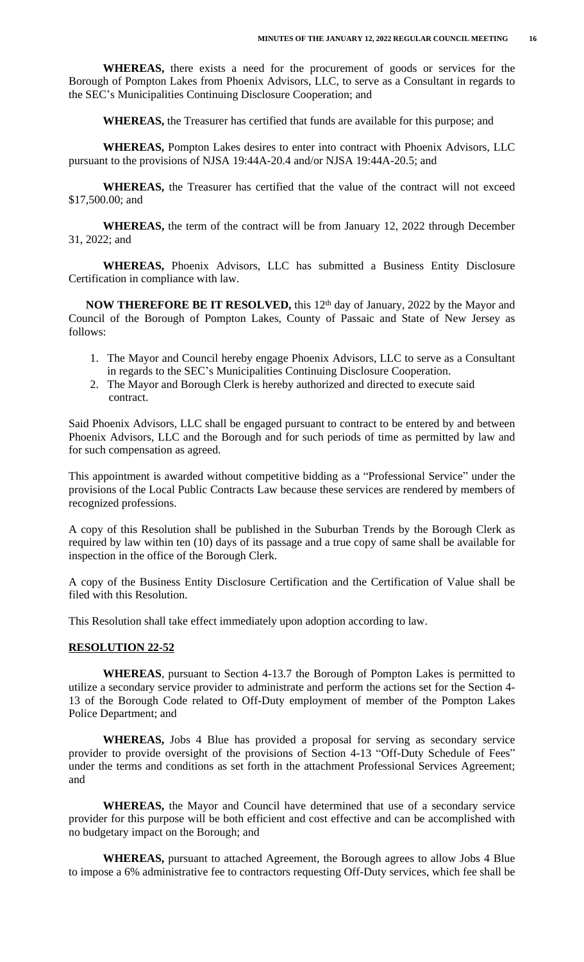**WHEREAS,** there exists a need for the procurement of goods or services for the Borough of Pompton Lakes from Phoenix Advisors, LLC, to serve as a Consultant in regards to the SEC's Municipalities Continuing Disclosure Cooperation; and

**WHEREAS,** the Treasurer has certified that funds are available for this purpose; and

**WHEREAS,** Pompton Lakes desires to enter into contract with Phoenix Advisors, LLC pursuant to the provisions of NJSA 19:44A-20.4 and/or NJSA 19:44A-20.5; and

**WHEREAS,** the Treasurer has certified that the value of the contract will not exceed \$17,500.00; and

**WHEREAS,** the term of the contract will be from January 12, 2022 through December 31, 2022; and

**WHEREAS,** Phoenix Advisors, LLC has submitted a Business Entity Disclosure Certification in compliance with law.

**NOW THEREFORE BE IT RESOLVED,** this 12th day of January, 2022 by the Mayor and Council of the Borough of Pompton Lakes, County of Passaic and State of New Jersey as follows:

- 1. The Mayor and Council hereby engage Phoenix Advisors, LLC to serve as a Consultant in regards to the SEC's Municipalities Continuing Disclosure Cooperation.
- 2. The Mayor and Borough Clerk is hereby authorized and directed to execute said contract.

Said Phoenix Advisors, LLC shall be engaged pursuant to contract to be entered by and between Phoenix Advisors, LLC and the Borough and for such periods of time as permitted by law and for such compensation as agreed.

This appointment is awarded without competitive bidding as a "Professional Service" under the provisions of the Local Public Contracts Law because these services are rendered by members of recognized professions.

A copy of this Resolution shall be published in the Suburban Trends by the Borough Clerk as required by law within ten (10) days of its passage and a true copy of same shall be available for inspection in the office of the Borough Clerk.

A copy of the Business Entity Disclosure Certification and the Certification of Value shall be filed with this Resolution.

This Resolution shall take effect immediately upon adoption according to law.

#### **RESOLUTION 22-52**

**WHEREAS**, pursuant to Section 4-13.7 the Borough of Pompton Lakes is permitted to utilize a secondary service provider to administrate and perform the actions set for the Section 4- 13 of the Borough Code related to Off-Duty employment of member of the Pompton Lakes Police Department; and

**WHEREAS,** Jobs 4 Blue has provided a proposal for serving as secondary service provider to provide oversight of the provisions of Section 4-13 "Off-Duty Schedule of Fees" under the terms and conditions as set forth in the attachment Professional Services Agreement; and

**WHEREAS,** the Mayor and Council have determined that use of a secondary service provider for this purpose will be both efficient and cost effective and can be accomplished with no budgetary impact on the Borough; and

**WHEREAS,** pursuant to attached Agreement, the Borough agrees to allow Jobs 4 Blue to impose a 6% administrative fee to contractors requesting Off-Duty services, which fee shall be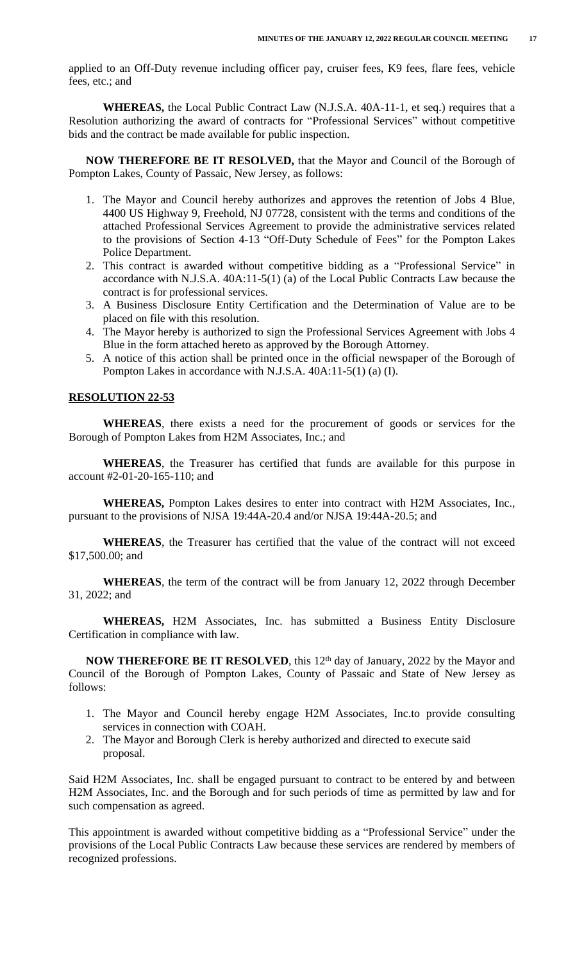applied to an Off-Duty revenue including officer pay, cruiser fees, K9 fees, flare fees, vehicle fees, etc.; and

**WHEREAS,** the Local Public Contract Law (N.J.S.A. 40A-11-1, et seq.) requires that a Resolution authorizing the award of contracts for "Professional Services" without competitive bids and the contract be made available for public inspection.

**NOW THEREFORE BE IT RESOLVED,** that the Mayor and Council of the Borough of Pompton Lakes, County of Passaic, New Jersey, as follows:

- 1. The Mayor and Council hereby authorizes and approves the retention of Jobs 4 Blue, 4400 US Highway 9, Freehold, NJ 07728, consistent with the terms and conditions of the attached Professional Services Agreement to provide the administrative services related to the provisions of Section 4-13 "Off-Duty Schedule of Fees" for the Pompton Lakes Police Department.
- 2. This contract is awarded without competitive bidding as a "Professional Service" in accordance with N.J.S.A. 40A:11-5(1) (a) of the Local Public Contracts Law because the contract is for professional services.
- 3. A Business Disclosure Entity Certification and the Determination of Value are to be placed on file with this resolution.
- 4. The Mayor hereby is authorized to sign the Professional Services Agreement with Jobs 4 Blue in the form attached hereto as approved by the Borough Attorney.
- 5. A notice of this action shall be printed once in the official newspaper of the Borough of Pompton Lakes in accordance with N.J.S.A. 40A:11-5(1) (a) (I).

## **RESOLUTION 22-53**

**WHEREAS**, there exists a need for the procurement of goods or services for the Borough of Pompton Lakes from H2M Associates, Inc.; and

**WHEREAS**, the Treasurer has certified that funds are available for this purpose in account #2-01-20-165-110; and

**WHEREAS,** Pompton Lakes desires to enter into contract with H2M Associates, Inc., pursuant to the provisions of NJSA 19:44A-20.4 and/or NJSA 19:44A-20.5; and

**WHEREAS**, the Treasurer has certified that the value of the contract will not exceed \$17,500.00; and

**WHEREAS**, the term of the contract will be from January 12, 2022 through December 31, 2022; and

**WHEREAS,** H2M Associates, Inc. has submitted a Business Entity Disclosure Certification in compliance with law.

**NOW THEREFORE BE IT RESOLVED**, this 12th day of January, 2022 by the Mayor and Council of the Borough of Pompton Lakes, County of Passaic and State of New Jersey as follows:

- 1. The Mayor and Council hereby engage H2M Associates, Inc.to provide consulting services in connection with COAH.
- 2. The Mayor and Borough Clerk is hereby authorized and directed to execute said proposal.

Said H2M Associates, Inc. shall be engaged pursuant to contract to be entered by and between H2M Associates, Inc. and the Borough and for such periods of time as permitted by law and for such compensation as agreed.

This appointment is awarded without competitive bidding as a "Professional Service" under the provisions of the Local Public Contracts Law because these services are rendered by members of recognized professions.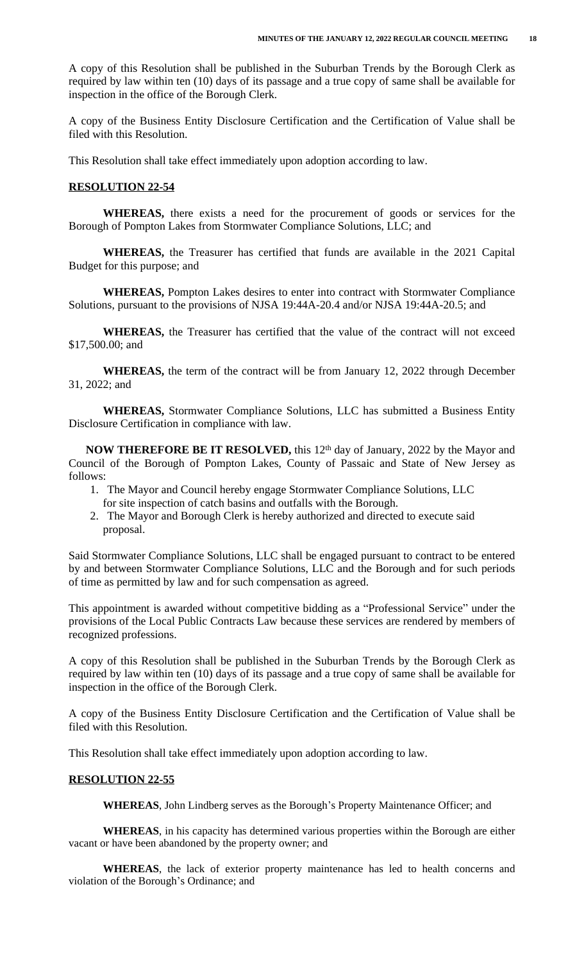A copy of this Resolution shall be published in the Suburban Trends by the Borough Clerk as required by law within ten (10) days of its passage and a true copy of same shall be available for inspection in the office of the Borough Clerk.

A copy of the Business Entity Disclosure Certification and the Certification of Value shall be filed with this Resolution.

This Resolution shall take effect immediately upon adoption according to law.

#### **RESOLUTION 22-54**

**WHEREAS,** there exists a need for the procurement of goods or services for the Borough of Pompton Lakes from Stormwater Compliance Solutions, LLC; and

**WHEREAS,** the Treasurer has certified that funds are available in the 2021 Capital Budget for this purpose; and

**WHEREAS,** Pompton Lakes desires to enter into contract with Stormwater Compliance Solutions, pursuant to the provisions of NJSA 19:44A-20.4 and/or NJSA 19:44A-20.5; and

**WHEREAS,** the Treasurer has certified that the value of the contract will not exceed \$17,500.00; and

**WHEREAS,** the term of the contract will be from January 12, 2022 through December 31, 2022; and

**WHEREAS,** Stormwater Compliance Solutions, LLC has submitted a Business Entity Disclosure Certification in compliance with law.

**NOW THEREFORE BE IT RESOLVED,** this 12th day of January, 2022 by the Mayor and Council of the Borough of Pompton Lakes, County of Passaic and State of New Jersey as follows:

- 1. The Mayor and Council hereby engage Stormwater Compliance Solutions, LLC for site inspection of catch basins and outfalls with the Borough.
- 2. The Mayor and Borough Clerk is hereby authorized and directed to execute said proposal.

Said Stormwater Compliance Solutions, LLC shall be engaged pursuant to contract to be entered by and between Stormwater Compliance Solutions, LLC and the Borough and for such periods of time as permitted by law and for such compensation as agreed.

This appointment is awarded without competitive bidding as a "Professional Service" under the provisions of the Local Public Contracts Law because these services are rendered by members of recognized professions.

A copy of this Resolution shall be published in the Suburban Trends by the Borough Clerk as required by law within ten (10) days of its passage and a true copy of same shall be available for inspection in the office of the Borough Clerk.

A copy of the Business Entity Disclosure Certification and the Certification of Value shall be filed with this Resolution.

This Resolution shall take effect immediately upon adoption according to law.

# **RESOLUTION 22-55**

**WHEREAS**, John Lindberg serves as the Borough's Property Maintenance Officer; and

**WHEREAS**, in his capacity has determined various properties within the Borough are either vacant or have been abandoned by the property owner; and

**WHEREAS**, the lack of exterior property maintenance has led to health concerns and violation of the Borough's Ordinance; and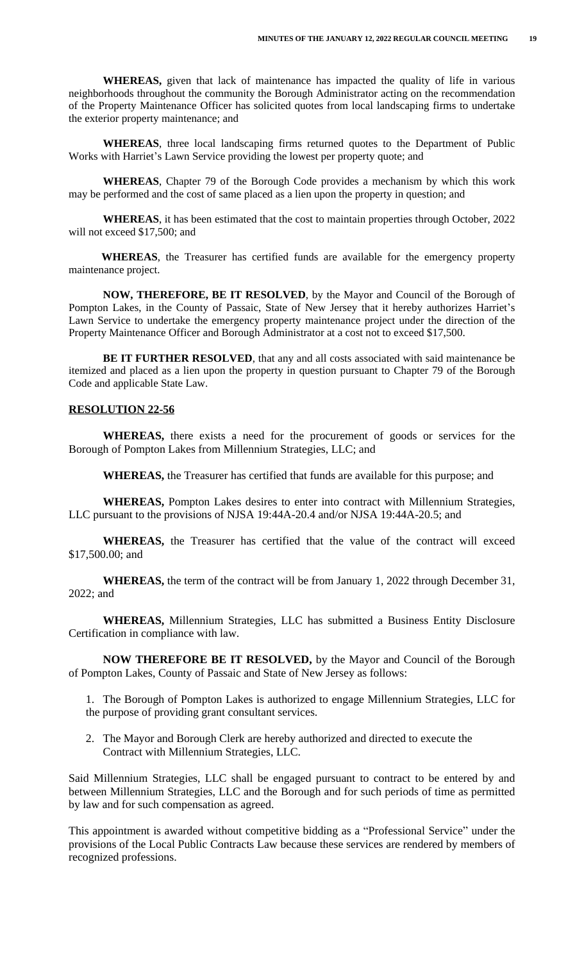**WHEREAS,** given that lack of maintenance has impacted the quality of life in various neighborhoods throughout the community the Borough Administrator acting on the recommendation of the Property Maintenance Officer has solicited quotes from local landscaping firms to undertake the exterior property maintenance; and

**WHEREAS**, three local landscaping firms returned quotes to the Department of Public Works with Harriet's Lawn Service providing the lowest per property quote; and

**WHEREAS**, Chapter 79 of the Borough Code provides a mechanism by which this work may be performed and the cost of same placed as a lien upon the property in question; and

**WHEREAS**, it has been estimated that the cost to maintain properties through October, 2022 will not exceed \$17,500; and

**WHEREAS**, the Treasurer has certified funds are available for the emergency property maintenance project.

**NOW, THEREFORE, BE IT RESOLVED**, by the Mayor and Council of the Borough of Pompton Lakes, in the County of Passaic, State of New Jersey that it hereby authorizes Harriet's Lawn Service to undertake the emergency property maintenance project under the direction of the Property Maintenance Officer and Borough Administrator at a cost not to exceed \$17,500.

**BE IT FURTHER RESOLVED**, that any and all costs associated with said maintenance be itemized and placed as a lien upon the property in question pursuant to Chapter 79 of the Borough Code and applicable State Law.

### **RESOLUTION 22-56**

**WHEREAS,** there exists a need for the procurement of goods or services for the Borough of Pompton Lakes from Millennium Strategies, LLC; and

**WHEREAS,** the Treasurer has certified that funds are available for this purpose; and

**WHEREAS,** Pompton Lakes desires to enter into contract with Millennium Strategies, LLC pursuant to the provisions of NJSA 19:44A-20.4 and/or NJSA 19:44A-20.5; and

**WHEREAS,** the Treasurer has certified that the value of the contract will exceed \$17,500.00; and

**WHEREAS,** the term of the contract will be from January 1, 2022 through December 31, 2022; and

**WHEREAS,** Millennium Strategies, LLC has submitted a Business Entity Disclosure Certification in compliance with law.

**NOW THEREFORE BE IT RESOLVED,** by the Mayor and Council of the Borough of Pompton Lakes, County of Passaic and State of New Jersey as follows:

1. The Borough of Pompton Lakes is authorized to engage Millennium Strategies, LLC for the purpose of providing grant consultant services.

 2. The Mayor and Borough Clerk are hereby authorized and directed to execute the Contract with Millennium Strategies, LLC.

Said Millennium Strategies, LLC shall be engaged pursuant to contract to be entered by and between Millennium Strategies, LLC and the Borough and for such periods of time as permitted by law and for such compensation as agreed.

This appointment is awarded without competitive bidding as a "Professional Service" under the provisions of the Local Public Contracts Law because these services are rendered by members of recognized professions.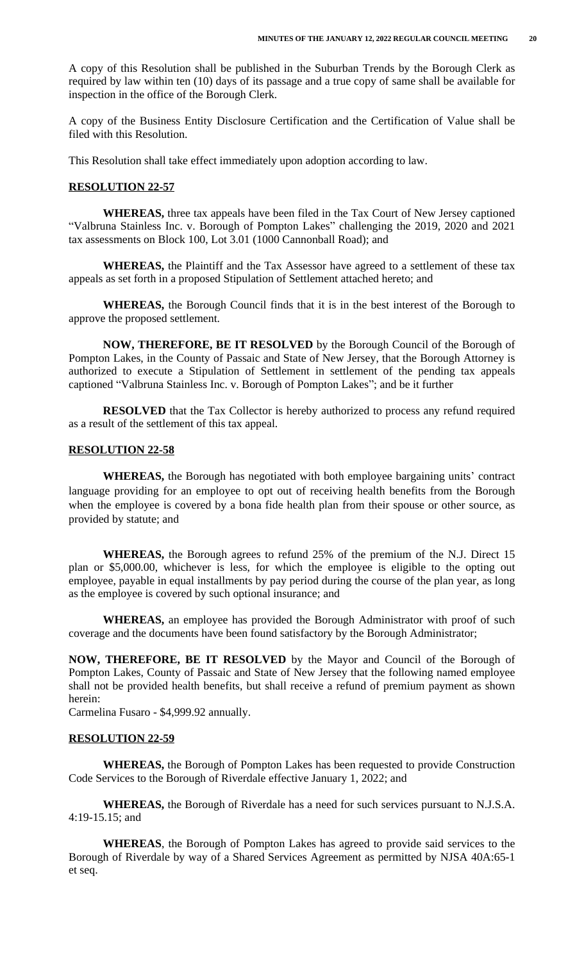A copy of this Resolution shall be published in the Suburban Trends by the Borough Clerk as required by law within ten (10) days of its passage and a true copy of same shall be available for inspection in the office of the Borough Clerk.

A copy of the Business Entity Disclosure Certification and the Certification of Value shall be filed with this Resolution.

This Resolution shall take effect immediately upon adoption according to law.

#### **RESOLUTION 22-57**

**WHEREAS,** three tax appeals have been filed in the Tax Court of New Jersey captioned "Valbruna Stainless Inc. v. Borough of Pompton Lakes" challenging the 2019, 2020 and 2021 tax assessments on Block 100, Lot 3.01 (1000 Cannonball Road); and

**WHEREAS,** the Plaintiff and the Tax Assessor have agreed to a settlement of these tax appeals as set forth in a proposed Stipulation of Settlement attached hereto; and

**WHEREAS,** the Borough Council finds that it is in the best interest of the Borough to approve the proposed settlement.

**NOW, THEREFORE, BE IT RESOLVED** by the Borough Council of the Borough of Pompton Lakes, in the County of Passaic and State of New Jersey, that the Borough Attorney is authorized to execute a Stipulation of Settlement in settlement of the pending tax appeals captioned "Valbruna Stainless Inc. v. Borough of Pompton Lakes"; and be it further

**RESOLVED** that the Tax Collector is hereby authorized to process any refund required as a result of the settlement of this tax appeal.

## **RESOLUTION 22-58**

**WHEREAS,** the Borough has negotiated with both employee bargaining units' contract language providing for an employee to opt out of receiving health benefits from the Borough when the employee is covered by a bona fide health plan from their spouse or other source, as provided by statute; and

**WHEREAS,** the Borough agrees to refund 25% of the premium of the N.J. Direct 15 plan or \$5,000.00, whichever is less, for which the employee is eligible to the opting out employee, payable in equal installments by pay period during the course of the plan year, as long as the employee is covered by such optional insurance; and

**WHEREAS,** an employee has provided the Borough Administrator with proof of such coverage and the documents have been found satisfactory by the Borough Administrator;

**NOW, THEREFORE, BE IT RESOLVED** by the Mayor and Council of the Borough of Pompton Lakes, County of Passaic and State of New Jersey that the following named employee shall not be provided health benefits, but shall receive a refund of premium payment as shown herein:

Carmelina Fusaro - \$4,999.92 annually.

## **RESOLUTION 22-59**

**WHEREAS,** the Borough of Pompton Lakes has been requested to provide Construction Code Services to the Borough of Riverdale effective January 1, 2022; and

**WHEREAS,** the Borough of Riverdale has a need for such services pursuant to N.J.S.A. 4:19-15.15; and

**WHEREAS**, the Borough of Pompton Lakes has agreed to provide said services to the Borough of Riverdale by way of a Shared Services Agreement as permitted by NJSA 40A:65-1 et seq.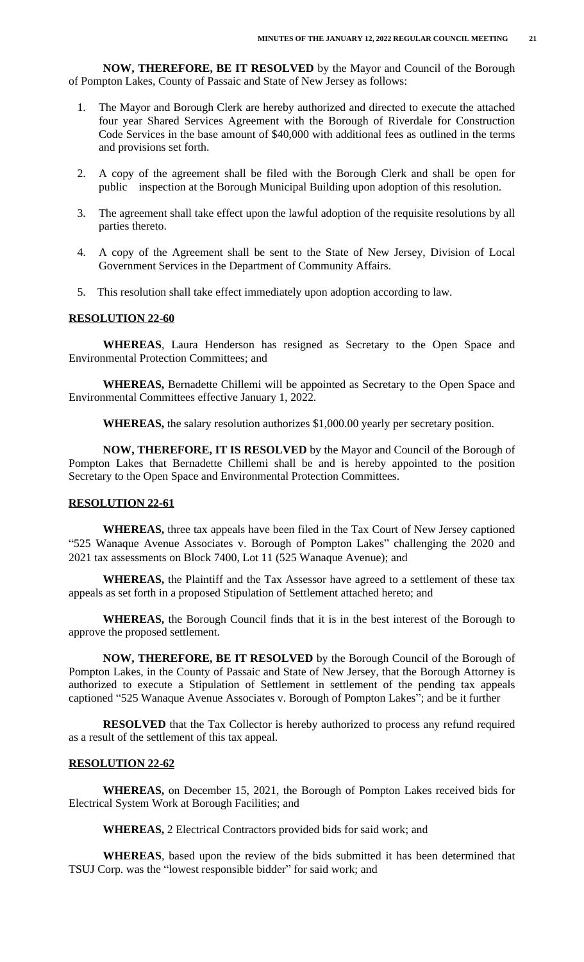**NOW, THEREFORE, BE IT RESOLVED** by the Mayor and Council of the Borough of Pompton Lakes, County of Passaic and State of New Jersey as follows:

- 1. The Mayor and Borough Clerk are hereby authorized and directed to execute the attached four year Shared Services Agreement with the Borough of Riverdale for Construction Code Services in the base amount of \$40,000 with additional fees as outlined in the terms and provisions set forth.
- 2. A copy of the agreement shall be filed with the Borough Clerk and shall be open for public inspection at the Borough Municipal Building upon adoption of this resolution.
- 3. The agreement shall take effect upon the lawful adoption of the requisite resolutions by all parties thereto.
- 4. A copy of the Agreement shall be sent to the State of New Jersey, Division of Local Government Services in the Department of Community Affairs.
- 5. This resolution shall take effect immediately upon adoption according to law.

# **RESOLUTION 22-60**

**WHEREAS**, Laura Henderson has resigned as Secretary to the Open Space and Environmental Protection Committees; and

**WHEREAS,** Bernadette Chillemi will be appointed as Secretary to the Open Space and Environmental Committees effective January 1, 2022.

**WHEREAS,** the salary resolution authorizes \$1,000.00 yearly per secretary position.

**NOW, THEREFORE, IT IS RESOLVED** by the Mayor and Council of the Borough of Pompton Lakes that Bernadette Chillemi shall be and is hereby appointed to the position Secretary to the Open Space and Environmental Protection Committees.

### **RESOLUTION 22-61**

**WHEREAS,** three tax appeals have been filed in the Tax Court of New Jersey captioned "525 Wanaque Avenue Associates v. Borough of Pompton Lakes" challenging the 2020 and 2021 tax assessments on Block 7400, Lot 11 (525 Wanaque Avenue); and

**WHEREAS,** the Plaintiff and the Tax Assessor have agreed to a settlement of these tax appeals as set forth in a proposed Stipulation of Settlement attached hereto; and

**WHEREAS,** the Borough Council finds that it is in the best interest of the Borough to approve the proposed settlement.

**NOW, THEREFORE, BE IT RESOLVED** by the Borough Council of the Borough of Pompton Lakes, in the County of Passaic and State of New Jersey, that the Borough Attorney is authorized to execute a Stipulation of Settlement in settlement of the pending tax appeals captioned "525 Wanaque Avenue Associates v. Borough of Pompton Lakes"; and be it further

**RESOLVED** that the Tax Collector is hereby authorized to process any refund required as a result of the settlement of this tax appeal.

### **RESOLUTION 22-62**

**WHEREAS,** on December 15, 2021, the Borough of Pompton Lakes received bids for Electrical System Work at Borough Facilities; and

**WHEREAS,** 2 Electrical Contractors provided bids for said work; and

**WHEREAS**, based upon the review of the bids submitted it has been determined that TSUJ Corp. was the "lowest responsible bidder" for said work; and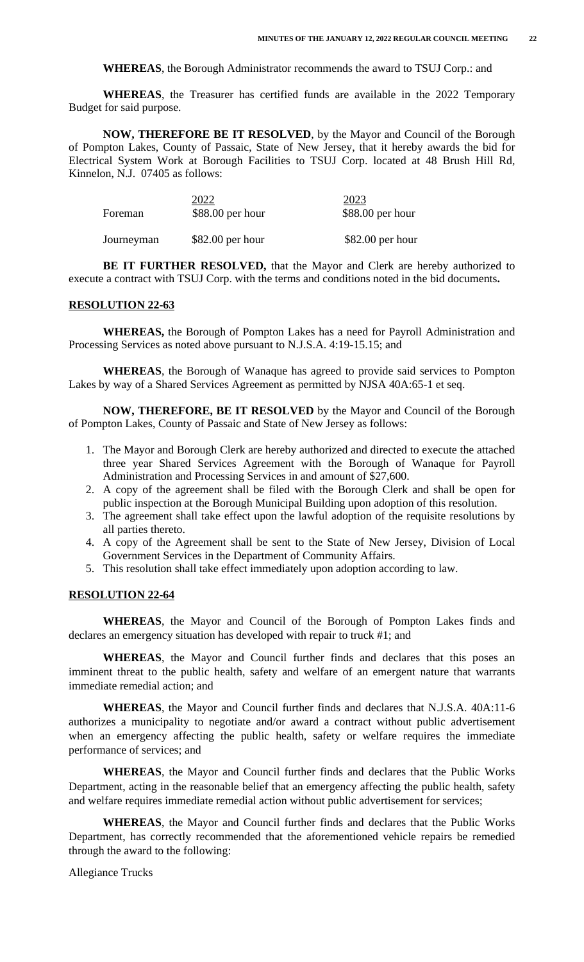**WHEREAS**, the Borough Administrator recommends the award to TSUJ Corp.: and

**WHEREAS**, the Treasurer has certified funds are available in the 2022 Temporary Budget for said purpose.

**NOW, THEREFORE BE IT RESOLVED**, by the Mayor and Council of the Borough of Pompton Lakes, County of Passaic, State of New Jersey, that it hereby awards the bid for Electrical System Work at Borough Facilities to TSUJ Corp. located at 48 Brush Hill Rd, Kinnelon, N.J. 07405 as follows:

| Foreman    | 2022<br>$$88.00$ per hour | 2023<br>$$88.00$ per hour |
|------------|---------------------------|---------------------------|
| Journeyman | $$82.00$ per hour         | $$82.00$ per hour         |

**BE IT FURTHER RESOLVED,** that the Mayor and Clerk are hereby authorized to execute a contract with TSUJ Corp. with the terms and conditions noted in the bid documents**.**

#### **RESOLUTION 22-63**

**WHEREAS,** the Borough of Pompton Lakes has a need for Payroll Administration and Processing Services as noted above pursuant to N.J.S.A. 4:19-15.15; and

**WHEREAS**, the Borough of Wanaque has agreed to provide said services to Pompton Lakes by way of a Shared Services Agreement as permitted by NJSA 40A:65-1 et seq.

**NOW, THEREFORE, BE IT RESOLVED** by the Mayor and Council of the Borough of Pompton Lakes, County of Passaic and State of New Jersey as follows:

- 1. The Mayor and Borough Clerk are hereby authorized and directed to execute the attached three year Shared Services Agreement with the Borough of Wanaque for Payroll Administration and Processing Services in and amount of \$27,600.
- 2. A copy of the agreement shall be filed with the Borough Clerk and shall be open for public inspection at the Borough Municipal Building upon adoption of this resolution.
- 3. The agreement shall take effect upon the lawful adoption of the requisite resolutions by all parties thereto.
- 4. A copy of the Agreement shall be sent to the State of New Jersey, Division of Local Government Services in the Department of Community Affairs.
- 5. This resolution shall take effect immediately upon adoption according to law.

### **RESOLUTION 22-64**

**WHEREAS**, the Mayor and Council of the Borough of Pompton Lakes finds and declares an emergency situation has developed with repair to truck #1; and

**WHEREAS**, the Mayor and Council further finds and declares that this poses an imminent threat to the public health, safety and welfare of an emergent nature that warrants immediate remedial action; and

**WHEREAS**, the Mayor and Council further finds and declares that N.J.S.A. 40A:11-6 authorizes a municipality to negotiate and/or award a contract without public advertisement when an emergency affecting the public health, safety or welfare requires the immediate performance of services; and

**WHEREAS**, the Mayor and Council further finds and declares that the Public Works Department, acting in the reasonable belief that an emergency affecting the public health, safety and welfare requires immediate remedial action without public advertisement for services;

**WHEREAS**, the Mayor and Council further finds and declares that the Public Works Department, has correctly recommended that the aforementioned vehicle repairs be remedied through the award to the following:

Allegiance Trucks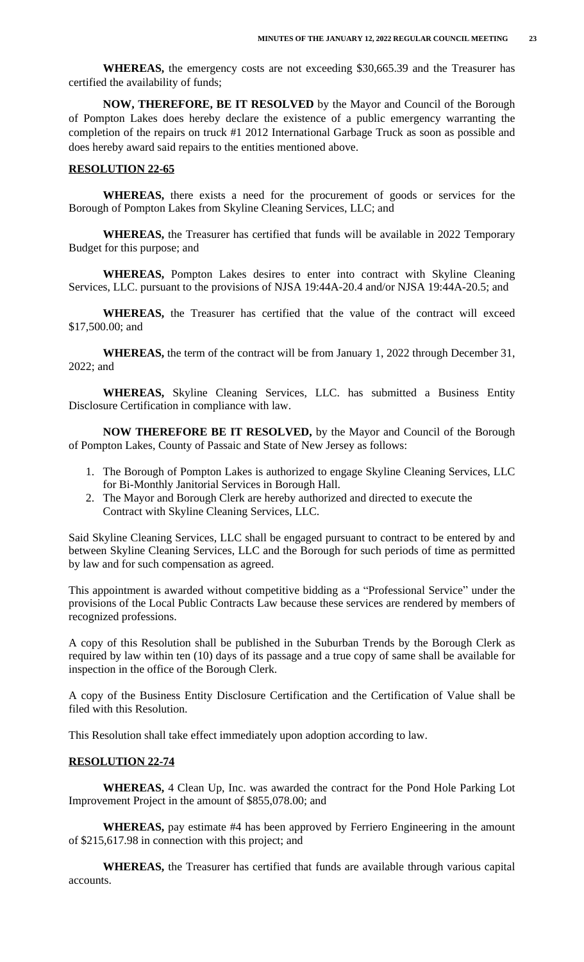**WHEREAS,** the emergency costs are not exceeding \$30,665.39 and the Treasurer has certified the availability of funds;

**NOW, THEREFORE, BE IT RESOLVED** by the Mayor and Council of the Borough of Pompton Lakes does hereby declare the existence of a public emergency warranting the completion of the repairs on truck #1 2012 International Garbage Truck as soon as possible and does hereby award said repairs to the entities mentioned above.

#### **RESOLUTION 22-65**

**WHEREAS,** there exists a need for the procurement of goods or services for the Borough of Pompton Lakes from Skyline Cleaning Services, LLC; and

**WHEREAS,** the Treasurer has certified that funds will be available in 2022 Temporary Budget for this purpose; and

**WHEREAS,** Pompton Lakes desires to enter into contract with Skyline Cleaning Services, LLC. pursuant to the provisions of NJSA 19:44A-20.4 and/or NJSA 19:44A-20.5; and

**WHEREAS,** the Treasurer has certified that the value of the contract will exceed \$17,500.00; and

**WHEREAS,** the term of the contract will be from January 1, 2022 through December 31, 2022; and

**WHEREAS,** Skyline Cleaning Services, LLC. has submitted a Business Entity Disclosure Certification in compliance with law.

**NOW THEREFORE BE IT RESOLVED,** by the Mayor and Council of the Borough of Pompton Lakes, County of Passaic and State of New Jersey as follows:

- 1. The Borough of Pompton Lakes is authorized to engage Skyline Cleaning Services, LLC for Bi-Monthly Janitorial Services in Borough Hall.
- 2. The Mayor and Borough Clerk are hereby authorized and directed to execute the Contract with Skyline Cleaning Services, LLC.

Said Skyline Cleaning Services, LLC shall be engaged pursuant to contract to be entered by and between Skyline Cleaning Services, LLC and the Borough for such periods of time as permitted by law and for such compensation as agreed.

This appointment is awarded without competitive bidding as a "Professional Service" under the provisions of the Local Public Contracts Law because these services are rendered by members of recognized professions.

A copy of this Resolution shall be published in the Suburban Trends by the Borough Clerk as required by law within ten (10) days of its passage and a true copy of same shall be available for inspection in the office of the Borough Clerk.

A copy of the Business Entity Disclosure Certification and the Certification of Value shall be filed with this Resolution.

This Resolution shall take effect immediately upon adoption according to law.

### **RESOLUTION 22-74**

**WHEREAS,** 4 Clean Up, Inc. was awarded the contract for the Pond Hole Parking Lot Improvement Project in the amount of \$855,078.00; and

**WHEREAS,** pay estimate #4 has been approved by Ferriero Engineering in the amount of \$215,617.98 in connection with this project; and

**WHEREAS,** the Treasurer has certified that funds are available through various capital accounts.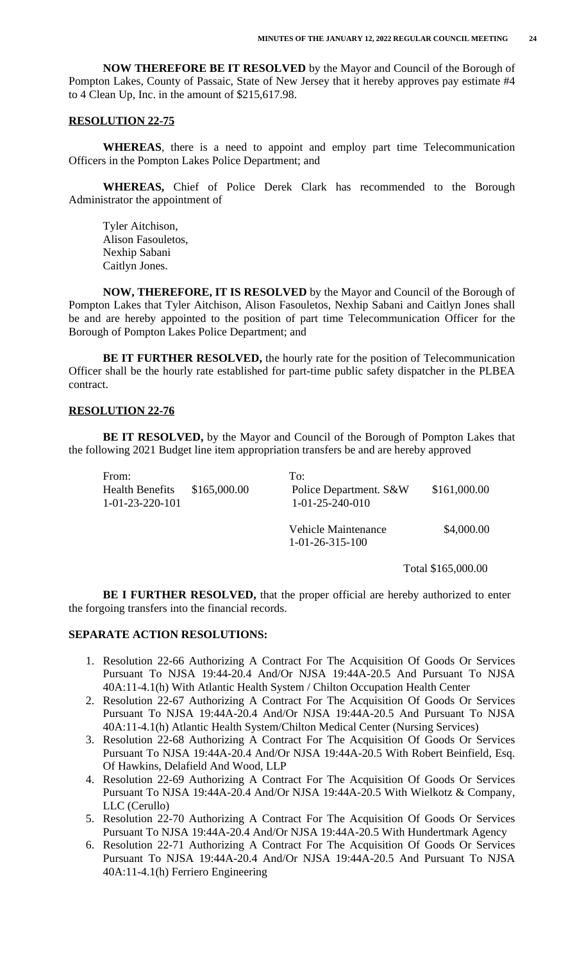**NOW THEREFORE BE IT RESOLVED** by the Mayor and Council of the Borough of Pompton Lakes, County of Passaic, State of New Jersey that it hereby approves pay estimate #4 to 4 Clean Up, Inc. in the amount of \$215,617.98.

#### **RESOLUTION 22-75**

**WHEREAS**, there is a need to appoint and employ part time Telecommunication Officers in the Pompton Lakes Police Department; and

**WHEREAS,** Chief of Police Derek Clark has recommended to the Borough Administrator the appointment of

Tyler Aitchison, Alison Fasouletos, Nexhip Sabani Caitlyn Jones.

**NOW, THEREFORE, IT IS RESOLVED** by the Mayor and Council of the Borough of Pompton Lakes that Tyler Aitchison, Alison Fasouletos, Nexhip Sabani and Caitlyn Jones shall be and are hereby appointed to the position of part time Telecommunication Officer for the Borough of Pompton Lakes Police Department; and

**BE IT FURTHER RESOLVED,** the hourly rate for the position of Telecommunication Officer shall be the hourly rate established for part-time public safety dispatcher in the PLBEA contract.

### **RESOLUTION 22-76**

**BE IT RESOLVED,** by the Mayor and Council of the Borough of Pompton Lakes that the following 2021 Budget line item appropriation transfers be and are hereby approved

| From:                                       |              | To:                                              |              |
|---------------------------------------------|--------------|--------------------------------------------------|--------------|
| <b>Health Benefits</b><br>$1-01-23-220-101$ | \$165,000.00 | Police Department. S&W<br>$1-01-25-240-010$      | \$161,000.00 |
|                                             |              | Vehicle Maintenance<br>$1 - 01 - 26 - 315 - 100$ | \$4,000.00   |

Total \$165,000.00

**BE I FURTHER RESOLVED,** that the proper official are hereby authorized to enter the forgoing transfers into the financial records.

## **SEPARATE ACTION RESOLUTIONS:**

- 1. Resolution 22-66 Authorizing A Contract For The Acquisition Of Goods Or Services Pursuant To NJSA 19:44-20.4 And/Or NJSA 19:44A-20.5 And Pursuant To NJSA 40A:11-4.1(h) With Atlantic Health System / Chilton Occupation Health Center
- 2. Resolution 22-67 Authorizing A Contract For The Acquisition Of Goods Or Services Pursuant To NJSA 19:44A-20.4 And/Or NJSA 19:44A-20.5 And Pursuant To NJSA 40A:11-4.1(h) Atlantic Health System/Chilton Medical Center (Nursing Services)
- 3. Resolution 22-68 Authorizing A Contract For The Acquisition Of Goods Or Services Pursuant To NJSA 19:44A-20.4 And/Or NJSA 19:44A-20.5 With Robert Beinfield, Esq. Of Hawkins, Delafield And Wood, LLP
- 4. Resolution 22-69 Authorizing A Contract For The Acquisition Of Goods Or Services Pursuant To NJSA 19:44A-20.4 And/Or NJSA 19:44A-20.5 With Wielkotz & Company, LLC (Cerullo)
- 5. Resolution 22-70 Authorizing A Contract For The Acquisition Of Goods Or Services Pursuant To NJSA 19:44A-20.4 And/Or NJSA 19:44A-20.5 With Hundertmark Agency
- 6. Resolution 22-71 Authorizing A Contract For The Acquisition Of Goods Or Services Pursuant To NJSA 19:44A-20.4 And/Or NJSA 19:44A-20.5 And Pursuant To NJSA 40A:11-4.1(h) Ferriero Engineering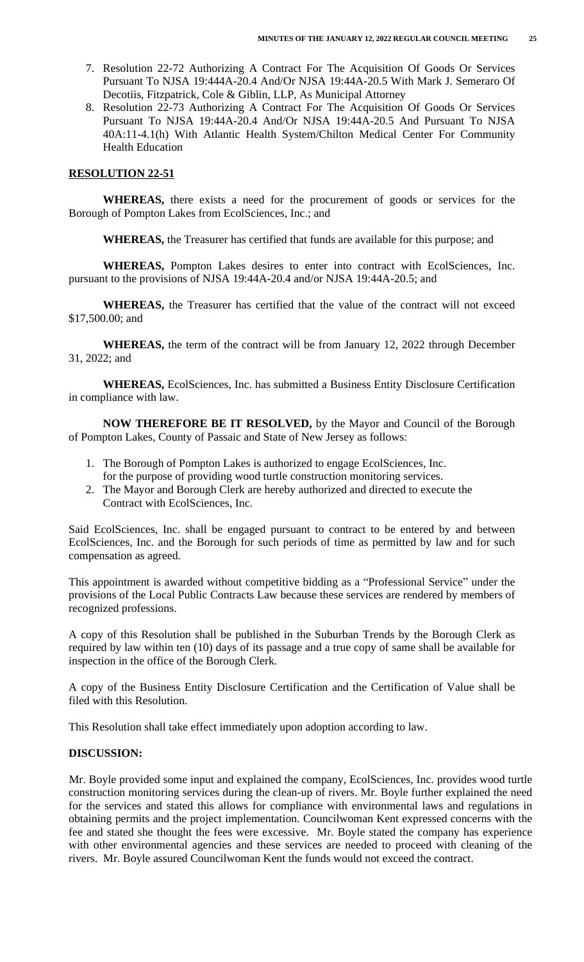- 7. Resolution 22-72 Authorizing A Contract For The Acquisition Of Goods Or Services Pursuant To NJSA 19:444A-20.4 And/Or NJSA 19:44A-20.5 With Mark J. Semeraro Of Decotiis, Fitzpatrick, Cole & Giblin, LLP, As Municipal Attorney
- 8. Resolution 22-73 Authorizing A Contract For The Acquisition Of Goods Or Services Pursuant To NJSA 19:44A-20.4 And/Or NJSA 19:44A-20.5 And Pursuant To NJSA 40A:11-4.1(h) With Atlantic Health System/Chilton Medical Center For Community Health Education

### **RESOLUTION 22-51**

**WHEREAS,** there exists a need for the procurement of goods or services for the Borough of Pompton Lakes from EcolSciences, Inc.; and

**WHEREAS,** the Treasurer has certified that funds are available for this purpose; and

**WHEREAS,** Pompton Lakes desires to enter into contract with EcolSciences, Inc. pursuant to the provisions of NJSA 19:44A-20.4 and/or NJSA 19:44A-20.5; and

**WHEREAS,** the Treasurer has certified that the value of the contract will not exceed \$17,500.00; and

**WHEREAS,** the term of the contract will be from January 12, 2022 through December 31, 2022; and

**WHEREAS,** EcolSciences, Inc. has submitted a Business Entity Disclosure Certification in compliance with law.

**NOW THEREFORE BE IT RESOLVED,** by the Mayor and Council of the Borough of Pompton Lakes, County of Passaic and State of New Jersey as follows:

- 1. The Borough of Pompton Lakes is authorized to engage EcolSciences, Inc. for the purpose of providing wood turtle construction monitoring services.
- 2. The Mayor and Borough Clerk are hereby authorized and directed to execute the Contract with EcolSciences, Inc.

Said EcolSciences, Inc. shall be engaged pursuant to contract to be entered by and between EcolSciences, Inc. and the Borough for such periods of time as permitted by law and for such compensation as agreed.

This appointment is awarded without competitive bidding as a "Professional Service" under the provisions of the Local Public Contracts Law because these services are rendered by members of recognized professions.

A copy of this Resolution shall be published in the Suburban Trends by the Borough Clerk as required by law within ten (10) days of its passage and a true copy of same shall be available for inspection in the office of the Borough Clerk.

A copy of the Business Entity Disclosure Certification and the Certification of Value shall be filed with this Resolution.

This Resolution shall take effect immediately upon adoption according to law.

### **DISCUSSION:**

Mr. Boyle provided some input and explained the company, EcolSciences, Inc. provides wood turtle construction monitoring services during the clean-up of rivers. Mr. Boyle further explained the need for the services and stated this allows for compliance with environmental laws and regulations in obtaining permits and the project implementation. Councilwoman Kent expressed concerns with the fee and stated she thought the fees were excessive. Mr. Boyle stated the company has experience with other environmental agencies and these services are needed to proceed with cleaning of the rivers. Mr. Boyle assured Councilwoman Kent the funds would not exceed the contract.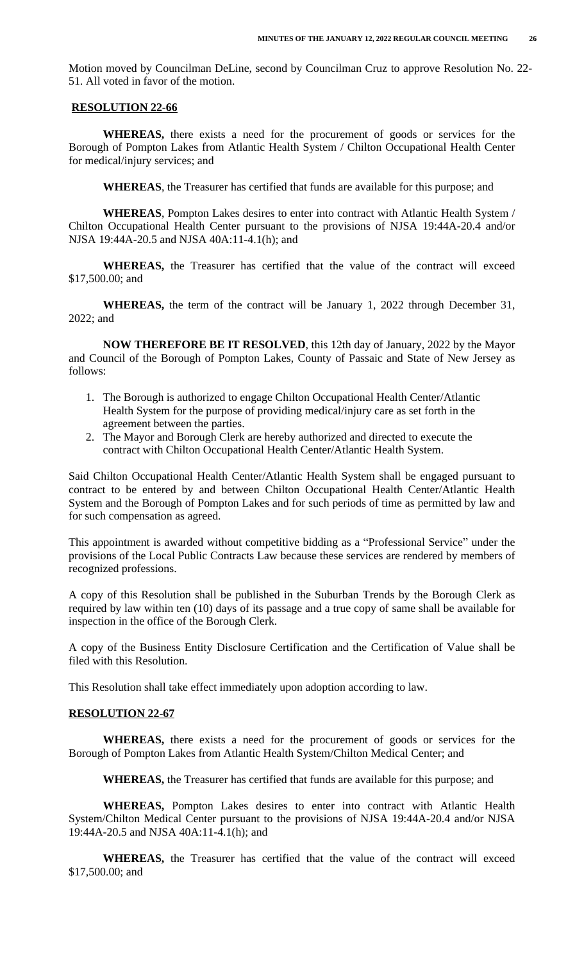Motion moved by Councilman DeLine, second by Councilman Cruz to approve Resolution No. 22- 51. All voted in favor of the motion.

### **RESOLUTION 22-66**

**WHEREAS,** there exists a need for the procurement of goods or services for the Borough of Pompton Lakes from Atlantic Health System / Chilton Occupational Health Center for medical/injury services; and

**WHEREAS**, the Treasurer has certified that funds are available for this purpose; and

**WHEREAS**, Pompton Lakes desires to enter into contract with Atlantic Health System / Chilton Occupational Health Center pursuant to the provisions of NJSA 19:44A-20.4 and/or NJSA 19:44A-20.5 and NJSA 40A:11-4.1(h); and

**WHEREAS,** the Treasurer has certified that the value of the contract will exceed \$17,500.00; and

**WHEREAS,** the term of the contract will be January 1, 2022 through December 31, 2022; and

**NOW THEREFORE BE IT RESOLVED**, this 12th day of January, 2022 by the Mayor and Council of the Borough of Pompton Lakes, County of Passaic and State of New Jersey as follows:

- 1. The Borough is authorized to engage Chilton Occupational Health Center/Atlantic Health System for the purpose of providing medical/injury care as set forth in the agreement between the parties.
- 2. The Mayor and Borough Clerk are hereby authorized and directed to execute the contract with Chilton Occupational Health Center/Atlantic Health System.

Said Chilton Occupational Health Center/Atlantic Health System shall be engaged pursuant to contract to be entered by and between Chilton Occupational Health Center/Atlantic Health System and the Borough of Pompton Lakes and for such periods of time as permitted by law and for such compensation as agreed.

This appointment is awarded without competitive bidding as a "Professional Service" under the provisions of the Local Public Contracts Law because these services are rendered by members of recognized professions.

A copy of this Resolution shall be published in the Suburban Trends by the Borough Clerk as required by law within ten (10) days of its passage and a true copy of same shall be available for inspection in the office of the Borough Clerk.

A copy of the Business Entity Disclosure Certification and the Certification of Value shall be filed with this Resolution.

This Resolution shall take effect immediately upon adoption according to law.

# **RESOLUTION 22-67**

**WHEREAS,** there exists a need for the procurement of goods or services for the Borough of Pompton Lakes from Atlantic Health System/Chilton Medical Center; and

**WHEREAS,** the Treasurer has certified that funds are available for this purpose; and

**WHEREAS,** Pompton Lakes desires to enter into contract with Atlantic Health System/Chilton Medical Center pursuant to the provisions of NJSA 19:44A-20.4 and/or NJSA 19:44A-20.5 and NJSA 40A:11-4.1(h); and

**WHEREAS,** the Treasurer has certified that the value of the contract will exceed \$17,500.00; and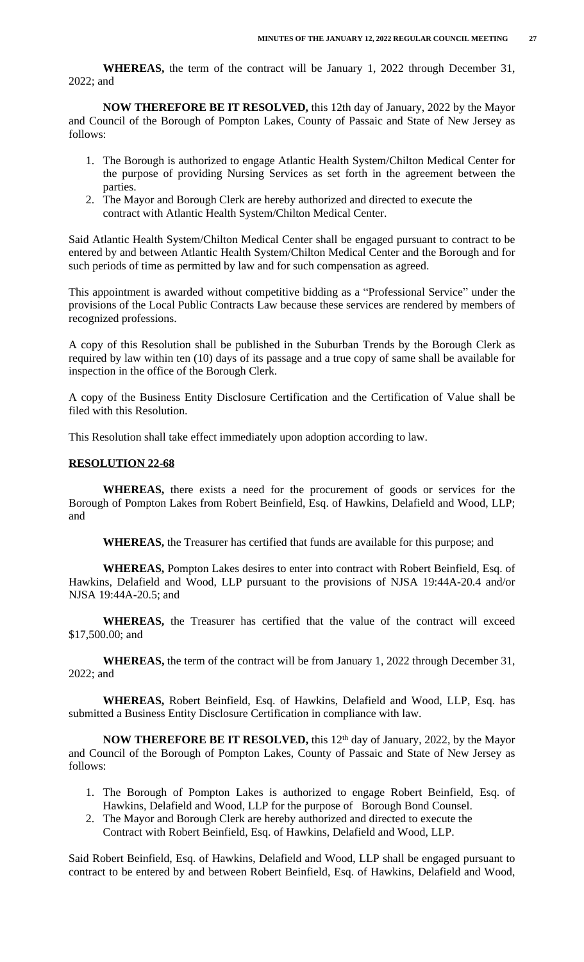**WHEREAS,** the term of the contract will be January 1, 2022 through December 31, 2022; and

**NOW THEREFORE BE IT RESOLVED,** this 12th day of January, 2022 by the Mayor and Council of the Borough of Pompton Lakes, County of Passaic and State of New Jersey as follows:

- 1. The Borough is authorized to engage Atlantic Health System/Chilton Medical Center for the purpose of providing Nursing Services as set forth in the agreement between the parties.
- 2. The Mayor and Borough Clerk are hereby authorized and directed to execute the contract with Atlantic Health System/Chilton Medical Center.

Said Atlantic Health System/Chilton Medical Center shall be engaged pursuant to contract to be entered by and between Atlantic Health System/Chilton Medical Center and the Borough and for such periods of time as permitted by law and for such compensation as agreed.

This appointment is awarded without competitive bidding as a "Professional Service" under the provisions of the Local Public Contracts Law because these services are rendered by members of recognized professions.

A copy of this Resolution shall be published in the Suburban Trends by the Borough Clerk as required by law within ten (10) days of its passage and a true copy of same shall be available for inspection in the office of the Borough Clerk.

A copy of the Business Entity Disclosure Certification and the Certification of Value shall be filed with this Resolution.

This Resolution shall take effect immediately upon adoption according to law.

### **RESOLUTION 22-68**

**WHEREAS,** there exists a need for the procurement of goods or services for the Borough of Pompton Lakes from Robert Beinfield, Esq. of Hawkins, Delafield and Wood, LLP; and

**WHEREAS,** the Treasurer has certified that funds are available for this purpose; and

**WHEREAS,** Pompton Lakes desires to enter into contract with Robert Beinfield, Esq. of Hawkins, Delafield and Wood, LLP pursuant to the provisions of NJSA 19:44A-20.4 and/or NJSA 19:44A-20.5; and

**WHEREAS,** the Treasurer has certified that the value of the contract will exceed \$17,500.00; and

**WHEREAS,** the term of the contract will be from January 1, 2022 through December 31, 2022; and

**WHEREAS,** Robert Beinfield, Esq. of Hawkins, Delafield and Wood, LLP, Esq. has submitted a Business Entity Disclosure Certification in compliance with law.

**NOW THEREFORE BE IT RESOLVED,** this 12th day of January, 2022, by the Mayor and Council of the Borough of Pompton Lakes, County of Passaic and State of New Jersey as follows:

- 1. The Borough of Pompton Lakes is authorized to engage Robert Beinfield, Esq. of Hawkins, Delafield and Wood, LLP for the purpose of Borough Bond Counsel.
- 2. The Mayor and Borough Clerk are hereby authorized and directed to execute the Contract with Robert Beinfield, Esq. of Hawkins, Delafield and Wood, LLP.

Said Robert Beinfield, Esq. of Hawkins, Delafield and Wood, LLP shall be engaged pursuant to contract to be entered by and between Robert Beinfield, Esq. of Hawkins, Delafield and Wood,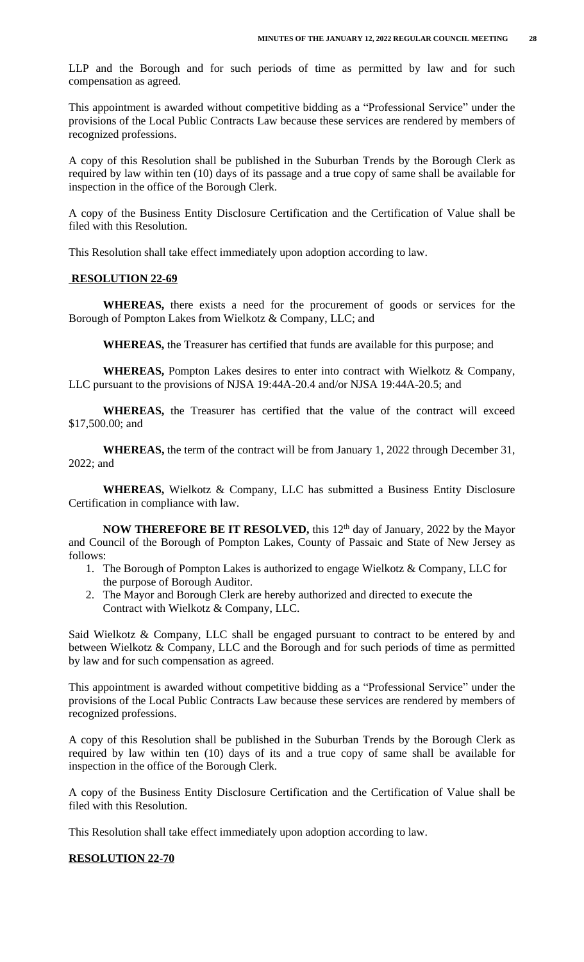LLP and the Borough and for such periods of time as permitted by law and for such compensation as agreed.

This appointment is awarded without competitive bidding as a "Professional Service" under the provisions of the Local Public Contracts Law because these services are rendered by members of recognized professions.

A copy of this Resolution shall be published in the Suburban Trends by the Borough Clerk as required by law within ten (10) days of its passage and a true copy of same shall be available for inspection in the office of the Borough Clerk.

A copy of the Business Entity Disclosure Certification and the Certification of Value shall be filed with this Resolution.

This Resolution shall take effect immediately upon adoption according to law.

#### **RESOLUTION 22-69**

**WHEREAS,** there exists a need for the procurement of goods or services for the Borough of Pompton Lakes from Wielkotz & Company, LLC; and

**WHEREAS,** the Treasurer has certified that funds are available for this purpose; and

**WHEREAS,** Pompton Lakes desires to enter into contract with Wielkotz & Company, LLC pursuant to the provisions of NJSA 19:44A-20.4 and/or NJSA 19:44A-20.5; and

**WHEREAS,** the Treasurer has certified that the value of the contract will exceed \$17,500.00; and

**WHEREAS,** the term of the contract will be from January 1, 2022 through December 31, 2022; and

**WHEREAS,** Wielkotz & Company, LLC has submitted a Business Entity Disclosure Certification in compliance with law.

**NOW THEREFORE BE IT RESOLVED,** this 12th day of January, 2022 by the Mayor and Council of the Borough of Pompton Lakes, County of Passaic and State of New Jersey as follows:

- 1. The Borough of Pompton Lakes is authorized to engage Wielkotz & Company, LLC for the purpose of Borough Auditor.
- 2. The Mayor and Borough Clerk are hereby authorized and directed to execute the Contract with Wielkotz & Company, LLC.

Said Wielkotz & Company, LLC shall be engaged pursuant to contract to be entered by and between Wielkotz & Company, LLC and the Borough and for such periods of time as permitted by law and for such compensation as agreed.

This appointment is awarded without competitive bidding as a "Professional Service" under the provisions of the Local Public Contracts Law because these services are rendered by members of recognized professions.

A copy of this Resolution shall be published in the Suburban Trends by the Borough Clerk as required by law within ten (10) days of its and a true copy of same shall be available for inspection in the office of the Borough Clerk.

A copy of the Business Entity Disclosure Certification and the Certification of Value shall be filed with this Resolution.

This Resolution shall take effect immediately upon adoption according to law.

## **RESOLUTION 22-70**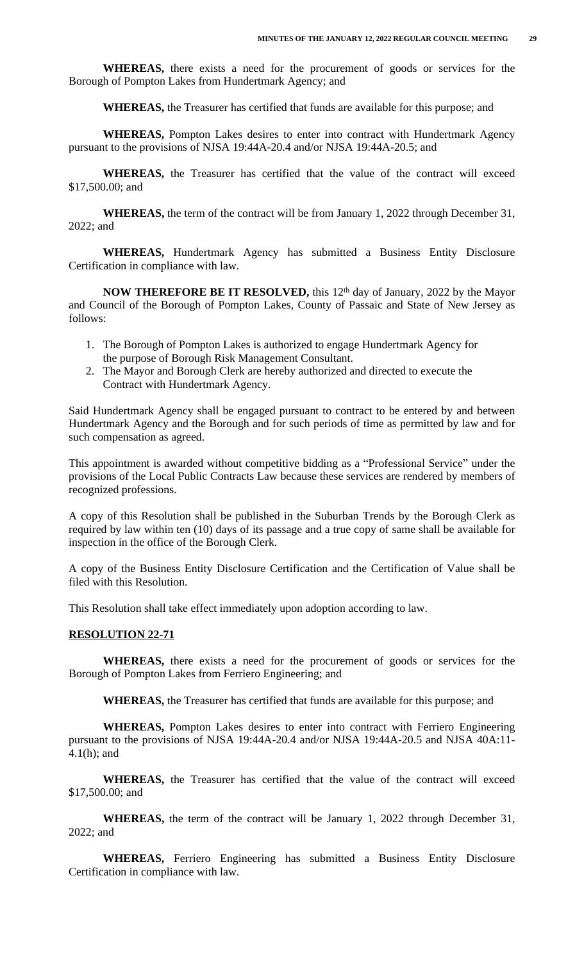**WHEREAS,** there exists a need for the procurement of goods or services for the Borough of Pompton Lakes from Hundertmark Agency; and

**WHEREAS,** the Treasurer has certified that funds are available for this purpose; and

**WHEREAS,** Pompton Lakes desires to enter into contract with Hundertmark Agency pursuant to the provisions of NJSA 19:44A-20.4 and/or NJSA 19:44A-20.5; and

**WHEREAS,** the Treasurer has certified that the value of the contract will exceed \$17,500.00; and

**WHEREAS,** the term of the contract will be from January 1, 2022 through December 31, 2022; and

**WHEREAS,** Hundertmark Agency has submitted a Business Entity Disclosure Certification in compliance with law.

**NOW THEREFORE BE IT RESOLVED,** this 12th day of January, 2022 by the Mayor and Council of the Borough of Pompton Lakes, County of Passaic and State of New Jersey as follows:

- 1. The Borough of Pompton Lakes is authorized to engage Hundertmark Agency for the purpose of Borough Risk Management Consultant.
- 2. The Mayor and Borough Clerk are hereby authorized and directed to execute the Contract with Hundertmark Agency.

Said Hundertmark Agency shall be engaged pursuant to contract to be entered by and between Hundertmark Agency and the Borough and for such periods of time as permitted by law and for such compensation as agreed.

This appointment is awarded without competitive bidding as a "Professional Service" under the provisions of the Local Public Contracts Law because these services are rendered by members of recognized professions.

A copy of this Resolution shall be published in the Suburban Trends by the Borough Clerk as required by law within ten (10) days of its passage and a true copy of same shall be available for inspection in the office of the Borough Clerk.

A copy of the Business Entity Disclosure Certification and the Certification of Value shall be filed with this Resolution.

This Resolution shall take effect immediately upon adoption according to law.

#### **RESOLUTION 22-71**

**WHEREAS,** there exists a need for the procurement of goods or services for the Borough of Pompton Lakes from Ferriero Engineering; and

**WHEREAS,** the Treasurer has certified that funds are available for this purpose; and

**WHEREAS,** Pompton Lakes desires to enter into contract with Ferriero Engineering pursuant to the provisions of NJSA 19:44A-20.4 and/or NJSA 19:44A-20.5 and NJSA 40A:11- 4.1(h); and

**WHEREAS,** the Treasurer has certified that the value of the contract will exceed \$17,500.00; and

**WHEREAS,** the term of the contract will be January 1, 2022 through December 31, 2022; and

**WHEREAS,** Ferriero Engineering has submitted a Business Entity Disclosure Certification in compliance with law.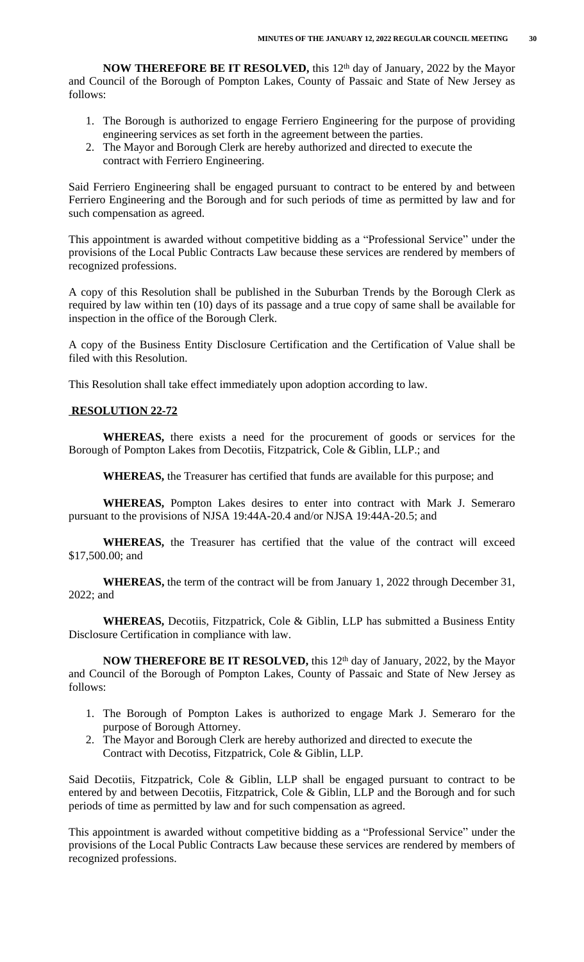**NOW THEREFORE BE IT RESOLVED,** this 12th day of January, 2022 by the Mayor and Council of the Borough of Pompton Lakes, County of Passaic and State of New Jersey as follows:

- 1. The Borough is authorized to engage Ferriero Engineering for the purpose of providing engineering services as set forth in the agreement between the parties.
- 2. The Mayor and Borough Clerk are hereby authorized and directed to execute the contract with Ferriero Engineering.

Said Ferriero Engineering shall be engaged pursuant to contract to be entered by and between Ferriero Engineering and the Borough and for such periods of time as permitted by law and for such compensation as agreed.

This appointment is awarded without competitive bidding as a "Professional Service" under the provisions of the Local Public Contracts Law because these services are rendered by members of recognized professions.

A copy of this Resolution shall be published in the Suburban Trends by the Borough Clerk as required by law within ten (10) days of its passage and a true copy of same shall be available for inspection in the office of the Borough Clerk.

A copy of the Business Entity Disclosure Certification and the Certification of Value shall be filed with this Resolution.

This Resolution shall take effect immediately upon adoption according to law.

# **RESOLUTION 22-72**

**WHEREAS,** there exists a need for the procurement of goods or services for the Borough of Pompton Lakes from Decotiis, Fitzpatrick, Cole & Giblin, LLP.; and

**WHEREAS,** the Treasurer has certified that funds are available for this purpose; and

**WHEREAS,** Pompton Lakes desires to enter into contract with Mark J. Semeraro pursuant to the provisions of NJSA 19:44A-20.4 and/or NJSA 19:44A-20.5; and

**WHEREAS,** the Treasurer has certified that the value of the contract will exceed \$17,500.00; and

**WHEREAS,** the term of the contract will be from January 1, 2022 through December 31, 2022; and

**WHEREAS,** Decotiis, Fitzpatrick, Cole & Giblin, LLP has submitted a Business Entity Disclosure Certification in compliance with law.

**NOW THEREFORE BE IT RESOLVED,** this 12th day of January, 2022, by the Mayor and Council of the Borough of Pompton Lakes, County of Passaic and State of New Jersey as follows:

- 1. The Borough of Pompton Lakes is authorized to engage Mark J. Semeraro for the purpose of Borough Attorney.
- 2. The Mayor and Borough Clerk are hereby authorized and directed to execute the Contract with Decotiss, Fitzpatrick, Cole & Giblin, LLP.

Said Decotiis, Fitzpatrick, Cole & Giblin, LLP shall be engaged pursuant to contract to be entered by and between Decotiis, Fitzpatrick, Cole & Giblin, LLP and the Borough and for such periods of time as permitted by law and for such compensation as agreed.

This appointment is awarded without competitive bidding as a "Professional Service" under the provisions of the Local Public Contracts Law because these services are rendered by members of recognized professions.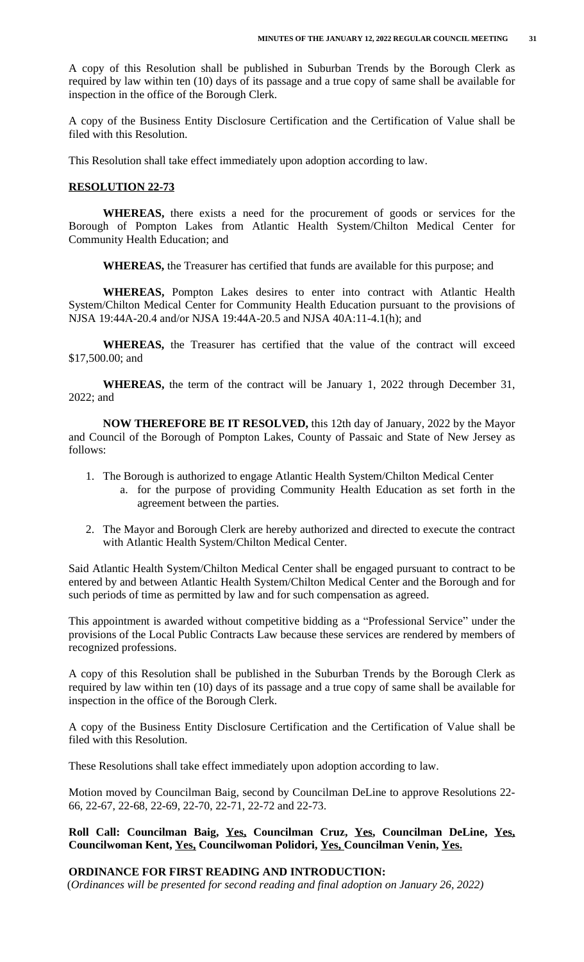A copy of this Resolution shall be published in Suburban Trends by the Borough Clerk as required by law within ten (10) days of its passage and a true copy of same shall be available for inspection in the office of the Borough Clerk.

A copy of the Business Entity Disclosure Certification and the Certification of Value shall be filed with this Resolution.

This Resolution shall take effect immediately upon adoption according to law.

## **RESOLUTION 22-73**

**WHEREAS,** there exists a need for the procurement of goods or services for the Borough of Pompton Lakes from Atlantic Health System/Chilton Medical Center for Community Health Education; and

**WHEREAS,** the Treasurer has certified that funds are available for this purpose; and

**WHEREAS,** Pompton Lakes desires to enter into contract with Atlantic Health System/Chilton Medical Center for Community Health Education pursuant to the provisions of NJSA 19:44A-20.4 and/or NJSA 19:44A-20.5 and NJSA 40A:11-4.1(h); and

**WHEREAS,** the Treasurer has certified that the value of the contract will exceed \$17,500.00; and

**WHEREAS,** the term of the contract will be January 1, 2022 through December 31, 2022; and

**NOW THEREFORE BE IT RESOLVED,** this 12th day of January, 2022 by the Mayor and Council of the Borough of Pompton Lakes, County of Passaic and State of New Jersey as follows:

- 1. The Borough is authorized to engage Atlantic Health System/Chilton Medical Center
	- a. for the purpose of providing Community Health Education as set forth in the agreement between the parties.
- 2. The Mayor and Borough Clerk are hereby authorized and directed to execute the contract with Atlantic Health System/Chilton Medical Center.

Said Atlantic Health System/Chilton Medical Center shall be engaged pursuant to contract to be entered by and between Atlantic Health System/Chilton Medical Center and the Borough and for such periods of time as permitted by law and for such compensation as agreed.

This appointment is awarded without competitive bidding as a "Professional Service" under the provisions of the Local Public Contracts Law because these services are rendered by members of recognized professions.

A copy of this Resolution shall be published in the Suburban Trends by the Borough Clerk as required by law within ten (10) days of its passage and a true copy of same shall be available for inspection in the office of the Borough Clerk.

A copy of the Business Entity Disclosure Certification and the Certification of Value shall be filed with this Resolution.

These Resolutions shall take effect immediately upon adoption according to law.

Motion moved by Councilman Baig, second by Councilman DeLine to approve Resolutions 22- 66, 22-67, 22-68, 22-69, 22-70, 22-71, 22-72 and 22-73.

# **Roll Call: Councilman Baig, Yes, Councilman Cruz, Yes, Councilman DeLine, Yes, Councilwoman Kent, Yes, Councilwoman Polidori, Yes, Councilman Venin, Yes.**

### **ORDINANCE FOR FIRST READING AND INTRODUCTION:**

(*Ordinances will be presented for second reading and final adoption on January 26, 2022)*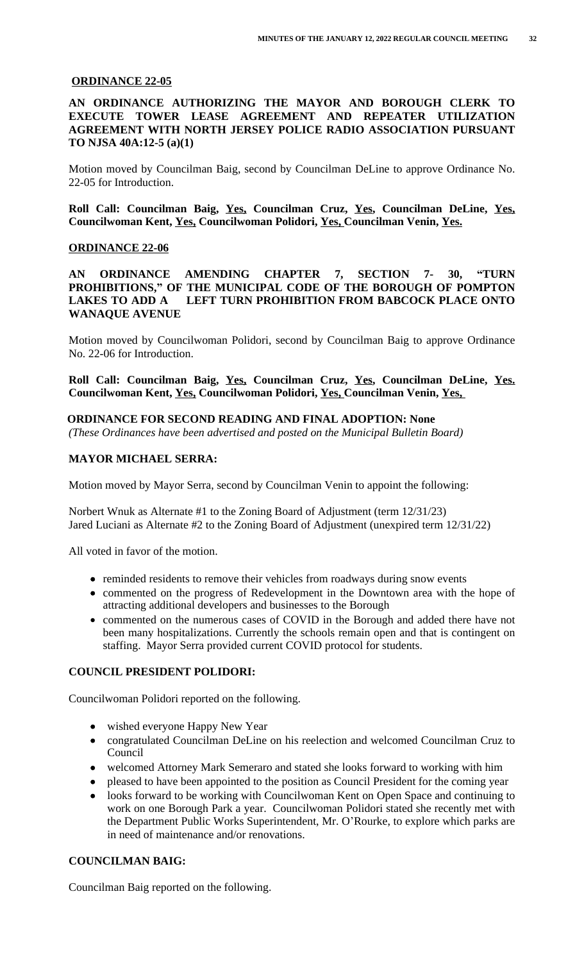### **ORDINANCE 22-05**

# **AN ORDINANCE AUTHORIZING THE MAYOR AND BOROUGH CLERK TO EXECUTE TOWER LEASE AGREEMENT AND REPEATER UTILIZATION AGREEMENT WITH NORTH JERSEY POLICE RADIO ASSOCIATION PURSUANT TO NJSA 40A:12-5 (a)(1)**

Motion moved by Councilman Baig, second by Councilman DeLine to approve Ordinance No. 22-05 for Introduction.

**Roll Call: Councilman Baig, Yes, Councilman Cruz, Yes, Councilman DeLine, Yes, Councilwoman Kent, Yes, Councilwoman Polidori, Yes, Councilman Venin, Yes.**

## **ORDINANCE 22-06**

**AN ORDINANCE AMENDING CHAPTER 7, SECTION 7- 30, "TURN PROHIBITIONS, " OF THE MUNICIPAL CODE OF THE BOROUGH OF POMPTON LAKES TO ADD A LEFT TURN PROHIBITION FROM BABCOCK PLACE ONTO WANAQUE AVENUE**

Motion moved by Councilwoman Polidori, second by Councilman Baig to approve Ordinance No. 22-06 for Introduction.

**Roll Call: Councilman Baig, Yes, Councilman Cruz, Yes, Councilman DeLine, Yes. Councilwoman Kent, Yes, Councilwoman Polidori, Yes, Councilman Venin, Yes,** 

## **ORDINANCE FOR SECOND READING AND FINAL ADOPTION: None**

*(These Ordinances have been advertised and posted on the Municipal Bulletin Board)*

## **MAYOR MICHAEL SERRA:**

Motion moved by Mayor Serra, second by Councilman Venin to appoint the following:

Norbert Wnuk as Alternate #1 to the Zoning Board of Adjustment (term 12/31/23) Jared Luciani as Alternate #2 to the Zoning Board of Adjustment (unexpired term 12/31/22)

All voted in favor of the motion.

- reminded residents to remove their vehicles from roadways during snow events
- commented on the progress of Redevelopment in the Downtown area with the hope of attracting additional developers and businesses to the Borough
- commented on the numerous cases of COVID in the Borough and added there have not been many hospitalizations. Currently the schools remain open and that is contingent on staffing. Mayor Serra provided current COVID protocol for students.

# **COUNCIL PRESIDENT POLIDORI:**

Councilwoman Polidori reported on the following.

- wished everyone Happy New Year
- congratulated Councilman DeLine on his reelection and welcomed Councilman Cruz to Council
- welcomed Attorney Mark Semeraro and stated she looks forward to working with him
- pleased to have been appointed to the position as Council President for the coming year
- looks forward to be working with Councilwoman Kent on Open Space and continuing to work on one Borough Park a year. Councilwoman Polidori stated she recently met with the Department Public Works Superintendent, Mr. O'Rourke, to explore which parks are in need of maintenance and/or renovations.

# **COUNCILMAN BAIG:**

Councilman Baig reported on the following.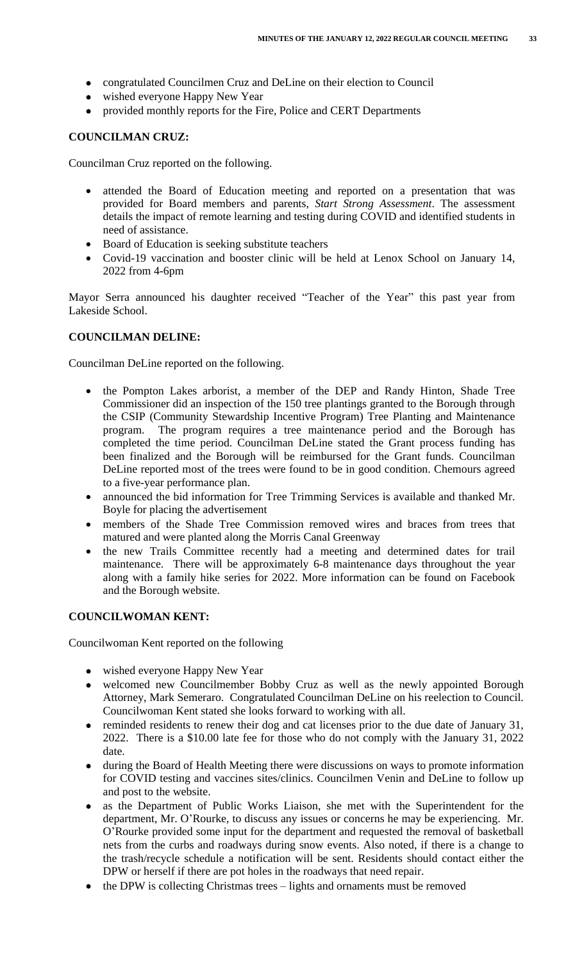- congratulated Councilmen Cruz and DeLine on their election to Council
- wished everyone Happy New Year
- provided monthly reports for the Fire, Police and CERT Departments

### **COUNCILMAN CRUZ:**

Councilman Cruz reported on the following.

- attended the Board of Education meeting and reported on a presentation that was provided for Board members and parents, *Start Strong Assessment*. The assessment details the impact of remote learning and testing during COVID and identified students in need of assistance.
- Board of Education is seeking substitute teachers
- Covid-19 vaccination and booster clinic will be held at Lenox School on January 14, 2022 from 4-6pm

Mayor Serra announced his daughter received "Teacher of the Year" this past year from Lakeside School.

### **COUNCILMAN DELINE:**

Councilman DeLine reported on the following.

- the Pompton Lakes arborist, a member of the DEP and Randy Hinton, Shade Tree Commissioner did an inspection of the 150 tree plantings granted to the Borough through the CSIP (Community Stewardship Incentive Program) Tree Planting and Maintenance program. The program requires a tree maintenance period and the Borough has completed the time period. Councilman DeLine stated the Grant process funding has been finalized and the Borough will be reimbursed for the Grant funds. Councilman DeLine reported most of the trees were found to be in good condition. Chemours agreed to a five-year performance plan.
- announced the bid information for Tree Trimming Services is available and thanked Mr. Boyle for placing the advertisement
- members of the Shade Tree Commission removed wires and braces from trees that matured and were planted along the Morris Canal Greenway
- the new Trails Committee recently had a meeting and determined dates for trail maintenance. There will be approximately 6-8 maintenance days throughout the year along with a family hike series for 2022. More information can be found on Facebook and the Borough website.

# **COUNCILWOMAN KENT:**

Councilwoman Kent reported on the following

- wished everyone Happy New Year
- welcomed new Councilmember Bobby Cruz as well as the newly appointed Borough Attorney, Mark Semeraro. Congratulated Councilman DeLine on his reelection to Council. Councilwoman Kent stated she looks forward to working with all.
- reminded residents to renew their dog and cat licenses prior to the due date of January 31, 2022. There is a \$10.00 late fee for those who do not comply with the January 31, 2022 date.
- during the Board of Health Meeting there were discussions on ways to promote information for COVID testing and vaccines sites/clinics. Councilmen Venin and DeLine to follow up and post to the website.
- as the Department of Public Works Liaison, she met with the Superintendent for the department, Mr. O'Rourke, to discuss any issues or concerns he may be experiencing. Mr. O'Rourke provided some input for the department and requested the removal of basketball nets from the curbs and roadways during snow events. Also noted, if there is a change to the trash/recycle schedule a notification will be sent. Residents should contact either the DPW or herself if there are pot holes in the roadways that need repair.
- the DPW is collecting Christmas trees lights and ornaments must be removed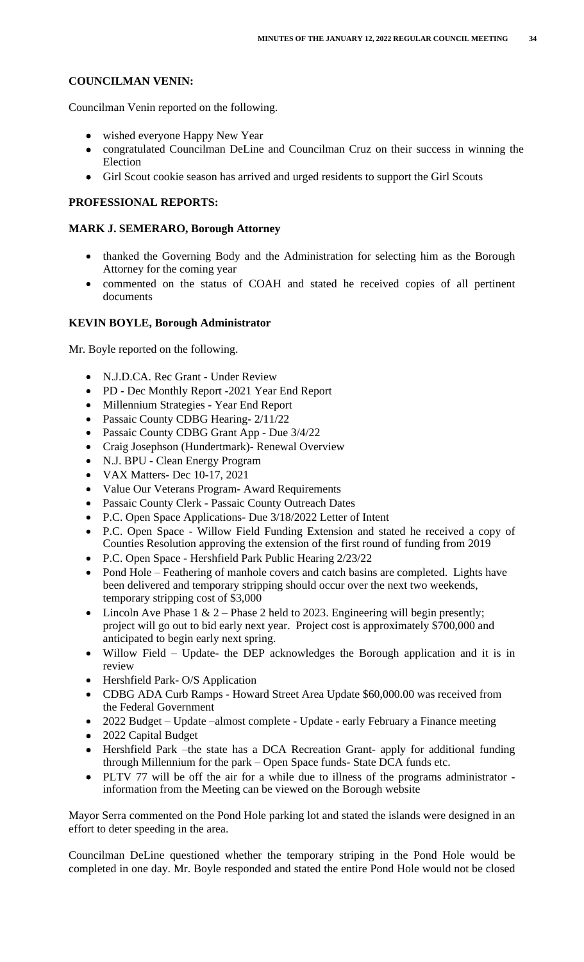# **COUNCILMAN VENIN:**

Councilman Venin reported on the following.

- wished everyone Happy New Year
- congratulated Councilman DeLine and Councilman Cruz on their success in winning the Election
- Girl Scout cookie season has arrived and urged residents to support the Girl Scouts

# **PROFESSIONAL REPORTS:**

# **MARK J. SEMERARO, Borough Attorney**

- thanked the Governing Body and the Administration for selecting him as the Borough Attorney for the coming year
- commented on the status of COAH and stated he received copies of all pertinent documents

## **KEVIN BOYLE, Borough Administrator**

Mr. Boyle reported on the following.

- N.J.D.CA. Rec Grant Under Review
- PD Dec Monthly Report -2021 Year End Report
- Millennium Strategies Year End Report
- Passaic County CDBG Hearing- 2/11/22
- Passaic County CDBG Grant App Due 3/4/22
- Craig Josephson (Hundertmark)- Renewal Overview
- N.J. BPU Clean Energy Program
- VAX Matters- Dec 10-17, 2021
- Value Our Veterans Program- Award Requirements
- Passaic County Clerk Passaic County Outreach Dates
- P.C. Open Space Applications- Due 3/18/2022 Letter of Intent
- P.C. Open Space Willow Field Funding Extension and stated he received a copy of Counties Resolution approving the extension of the first round of funding from 2019
- P.C. Open Space Hershfield Park Public Hearing 2/23/22
- Pond Hole Feathering of manhole covers and catch basins are completed. Lights have been delivered and temporary stripping should occur over the next two weekends, temporary stripping cost of \$3,000
- Lincoln Ave Phase 1  $\&$  2 Phase 2 held to 2023. Engineering will begin presently; project will go out to bid early next year. Project cost is approximately \$700,000 and anticipated to begin early next spring.
- Willow Field Update- the DEP acknowledges the Borough application and it is in review
- Hershfield Park- O/S Application
- CDBG ADA Curb Ramps Howard Street Area Update \$60,000.00 was received from the Federal Government
- 2022 Budget Update –almost complete Update early February a Finance meeting
- 2022 Capital Budget
- Hershfield Park –the state has a DCA Recreation Grant- apply for additional funding through Millennium for the park – Open Space funds- State DCA funds etc.
- PLTV 77 will be off the air for a while due to illness of the programs administrator information from the Meeting can be viewed on the Borough website

Mayor Serra commented on the Pond Hole parking lot and stated the islands were designed in an effort to deter speeding in the area.

Councilman DeLine questioned whether the temporary striping in the Pond Hole would be completed in one day. Mr. Boyle responded and stated the entire Pond Hole would not be closed